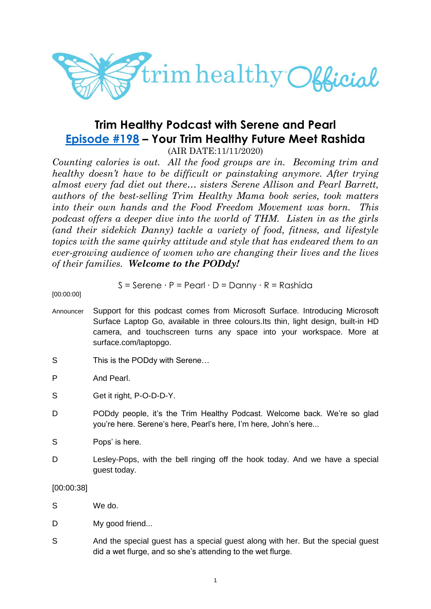

# **Trim Healthy Podcast with Serene and Pearl [Episode #198](https://cms.megaphone.fm/channel/trimhealthypodcast?selected=ADL8482463685) – Your Trim Healthy Future Meet Rashida**

(AIR DATE:11/11/2020)

*Counting calories is out. All the food groups are in. Becoming trim and healthy doesn't have to be difficult or painstaking anymore. After trying almost every fad diet out there… sisters Serene Allison and Pearl Barrett, authors of the best-selling Trim Healthy Mama book series, took matters into their own hands and the Food Freedom Movement was born. This podcast offers a deeper dive into the world of THM. Listen in as the girls (and their sidekick Danny) tackle a variety of food, fitness, and lifestyle topics with the same quirky attitude and style that has endeared them to an ever-growing audience of women who are changing their lives and the lives of their families. Welcome to the PODdy!*

$$
S =
$$
Serene · P = Pearl · D = Danny · R = Rashida

[00:00:00]

- Announcer Support for this podcast comes from Microsoft Surface. Introducing Microsoft Surface Laptop Go, available in three colours.Its thin, light design, built-in HD camera, and touchscreen turns any space into your workspace. More at surface.com/laptopgo.
- S This is the PODdy with Serene...
- P And Pearl.
- S Get it right, P-O-D-D-Y.
- D PODdy people, it's the Trim Healthy Podcast. Welcome back. We're so glad you're here. Serene's here, Pearl's here, I'm here, John's here...
- S Pops' is here.
- D Lesley-Pops, with the bell ringing off the hook today. And we have a special guest today.

[00:00:38]

- S We do.
- D My good friend...
- S And the special guest has a special guest along with her. But the special guest did a wet flurge, and so she's attending to the wet flurge.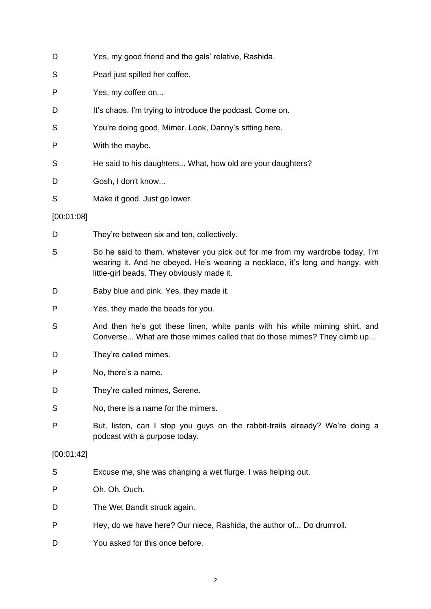| D          | Yes, my good friend and the gals' relative, Rashida.                                                                                                                                                        |
|------------|-------------------------------------------------------------------------------------------------------------------------------------------------------------------------------------------------------------|
| S          | Pearl just spilled her coffee.                                                                                                                                                                              |
| P          | Yes, my coffee on                                                                                                                                                                                           |
| D          | It's chaos. I'm trying to introduce the podcast. Come on.                                                                                                                                                   |
| S          | You're doing good, Mimer. Look, Danny's sitting here.                                                                                                                                                       |
| P          | With the maybe.                                                                                                                                                                                             |
| S          | He said to his daughters What, how old are your daughters?                                                                                                                                                  |
| D          | Gosh, I don't know                                                                                                                                                                                          |
| S          | Make it good. Just go lower.                                                                                                                                                                                |
| [00:01:08] |                                                                                                                                                                                                             |
| D          | They're between six and ten, collectively.                                                                                                                                                                  |
| S          | So he said to them, whatever you pick out for me from my wardrobe today, I'm<br>wearing it. And he obeyed. He's wearing a necklace, it's long and hangy, with<br>little-girl beads. They obviously made it. |
| D          | Baby blue and pink. Yes, they made it.                                                                                                                                                                      |
| P          | Yes, they made the beads for you.                                                                                                                                                                           |
| S          | And then he's got these linen, white pants with his white miming shirt, and<br>Converse What are those mimes called that do those mimes? They climb up                                                      |
| D          | They're called mimes.                                                                                                                                                                                       |
| P          | No, there's a name.                                                                                                                                                                                         |
| D          | They're called mimes, Serene.                                                                                                                                                                               |
| S          | No, there is a name for the mimers.                                                                                                                                                                         |
| P          | But, listen, can I stop you guys on the rabbit-trails already? We're doing a<br>podcast with a purpose today.                                                                                               |
| [00:01:42] |                                                                                                                                                                                                             |
| S          | Excuse me, she was changing a wet flurge. I was helping out.                                                                                                                                                |
| P          | Oh. Oh. Ouch.                                                                                                                                                                                               |
| D          | The Wet Bandit struck again.                                                                                                                                                                                |
| P          | Hey, do we have here? Our niece, Rashida, the author of Do drumroll.                                                                                                                                        |

D You asked for this once before.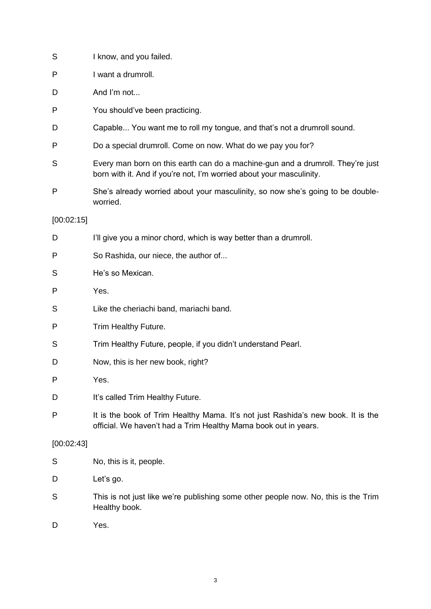| S          | I know, and you failed.                                                                                                                                |
|------------|--------------------------------------------------------------------------------------------------------------------------------------------------------|
| P          | I want a drumroll.                                                                                                                                     |
| D          | And I'm not                                                                                                                                            |
| P          | You should've been practicing.                                                                                                                         |
| D          | Capable You want me to roll my tongue, and that's not a drumroll sound.                                                                                |
| P          | Do a special drumroll. Come on now. What do we pay you for?                                                                                            |
| S          | Every man born on this earth can do a machine-gun and a drumroll. They're just<br>born with it. And if you're not, I'm worried about your masculinity. |
| P          | She's already worried about your masculinity, so now she's going to be double-<br>worried.                                                             |
| [00:02:15] |                                                                                                                                                        |
| D          | I'll give you a minor chord, which is way better than a drumroll.                                                                                      |
| P          | So Rashida, our niece, the author of                                                                                                                   |
| S          | He's so Mexican.                                                                                                                                       |
| P          | Yes.                                                                                                                                                   |
| S          | Like the cheriachi band, mariachi band.                                                                                                                |
| P          | Trim Healthy Future.                                                                                                                                   |
| S          | Trim Healthy Future, people, if you didn't understand Pearl.                                                                                           |
| D          | Now, this is her new book, right?                                                                                                                      |
| P          | Yes.                                                                                                                                                   |
| D          | It's called Trim Healthy Future.                                                                                                                       |
| P          | It is the book of Trim Healthy Mama. It's not just Rashida's new book. It is the<br>official. We haven't had a Trim Healthy Mama book out in years.    |
| [00:02:43] |                                                                                                                                                        |
| S          | No, this is it, people.                                                                                                                                |
| D          | Let's go.                                                                                                                                              |
| S          | This is not just like we're publishing some other people now. No, this is the Trim<br>Healthy book.                                                    |
| D          | Yes.                                                                                                                                                   |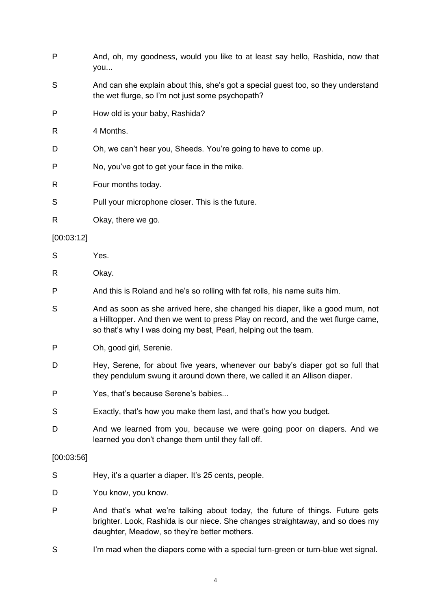- P And, oh, my goodness, would you like to at least say hello, Rashida, now that you...
- S And can she explain about this, she's got a special quest too, so they understand the wet flurge, so I'm not just some psychopath?
- P How old is your baby, Rashida?
- R 4 Months.
- D Oh, we can't hear you, Sheeds. You're going to have to come up.
- P No, you've got to get your face in the mike.
- R Four months today.
- S Pull your microphone closer. This is the future.
- R Okay, there we go.

#### [00:03:12]

- S Yes.
- R Okay.
- P And this is Roland and he's so rolling with fat rolls, his name suits him.
- S And as soon as she arrived here, she changed his diaper, like a good mum, not a Hilltopper. And then we went to press Play on record, and the wet flurge came, so that's why I was doing my best, Pearl, helping out the team.
- P Oh, good girl, Serenie.
- D Hey, Serene, for about five years, whenever our baby's diaper got so full that they pendulum swung it around down there, we called it an Allison diaper.
- P Yes, that's because Serene's babies...
- S Exactly, that's how you make them last, and that's how you budget.
- D And we learned from you, because we were going poor on diapers. And we learned you don't change them until they fall off.

#### [00:03:56]

- S Hey, it's a quarter a diaper. It's 25 cents, people.
- D You know, you know.
- P And that's what we're talking about today, the future of things. Future gets brighter. Look, Rashida is our niece. She changes straightaway, and so does my daughter, Meadow, so they're better mothers.
- S I'm mad when the diapers come with a special turn-green or turn-blue wet signal.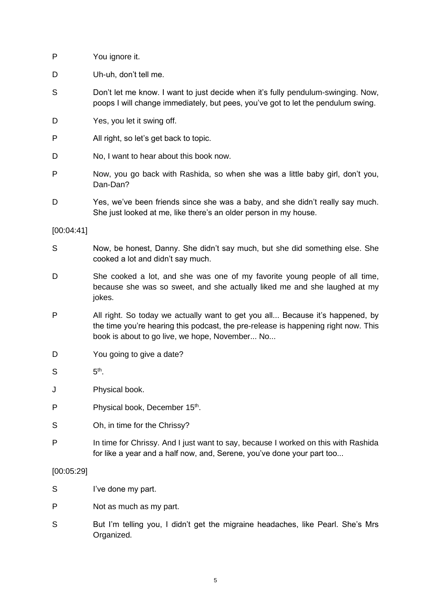| P          | You ignore it.                                                                                                                                                       |
|------------|----------------------------------------------------------------------------------------------------------------------------------------------------------------------|
| D          | Uh-uh, don't tell me.                                                                                                                                                |
| S          | Don't let me know. I want to just decide when it's fully pendulum-swinging. Now,<br>poops I will change immediately, but pees, you've got to let the pendulum swing. |
| D          | Yes, you let it swing off.                                                                                                                                           |
| P          | All right, so let's get back to topic.                                                                                                                               |
| D          | No, I want to hear about this book now.                                                                                                                              |
| P          | Now, you go back with Rashida, so when she was a little baby girl, don't you,<br>Dan-Dan?                                                                            |
| D          | Yes, we've been friends since she was a baby, and she didn't really say much.<br>She just looked at me, like there's an older person in my house.                    |
| [00:04:41] |                                                                                                                                                                      |

- S Now, be honest, Danny. She didn't say much, but she did something else. She cooked a lot and didn't say much.
- D She cooked a lot, and she was one of my favorite young people of all time, because she was so sweet, and she actually liked me and she laughed at my jokes.
- P All right. So today we actually want to get you all... Because it's happened, by the time you're hearing this podcast, the pre-release is happening right now. This book is about to go live, we hope, November... No...
- D You going to give a date?
- $S$ th .
- J Physical book.
- P Physical book, December 15<sup>th</sup>.
- S Oh, in time for the Chrissy?
- P In time for Chrissy. And I just want to say, because I worked on this with Rashida for like a year and a half now, and, Serene, you've done your part too...

# [00:05:29]

- S I've done my part.
- P Not as much as my part.
- S But I'm telling you, I didn't get the migraine headaches, like Pearl. She's Mrs Organized.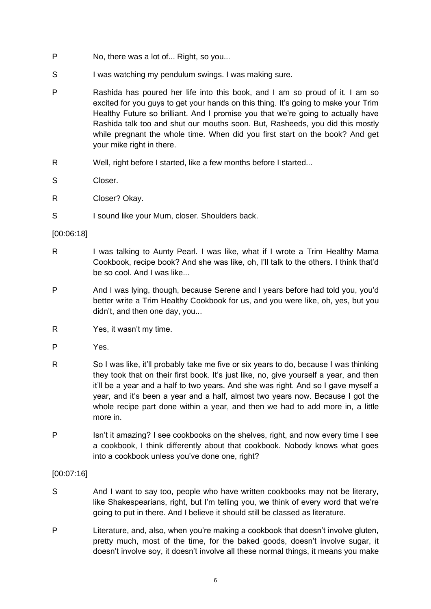- P No, there was a lot of... Right, so you...
- S I was watching my pendulum swings. I was making sure.
- P Rashida has poured her life into this book, and I am so proud of it. I am so excited for you guys to get your hands on this thing. It's going to make your Trim Healthy Future so brilliant. And I promise you that we're going to actually have Rashida talk too and shut our mouths soon. But, Rasheeds, you did this mostly while pregnant the whole time. When did you first start on the book? And get your mike right in there.
- R Well, right before I started, like a few months before I started...
- S Closer.
- R Closer? Okay.
- S I sound like your Mum, closer. Shoulders back.

#### [00:06:18]

- R I was talking to Aunty Pearl. I was like, what if I wrote a Trim Healthy Mama Cookbook, recipe book? And she was like, oh, I'll talk to the others. I think that'd be so cool. And I was like...
- P And I was lying, though, because Serene and I years before had told you, you'd better write a Trim Healthy Cookbook for us, and you were like, oh, yes, but you didn't, and then one day, you...
- R Yes, it wasn't my time.
- P Yes.
- R So I was like, it'll probably take me five or six years to do, because I was thinking they took that on their first book. It's just like, no, give yourself a year, and then it'll be a year and a half to two years. And she was right. And so I gave myself a year, and it's been a year and a half, almost two years now. Because I got the whole recipe part done within a year, and then we had to add more in, a little more in.
- P Isn't it amazing? I see cookbooks on the shelves, right, and now every time I see a cookbook, I think differently about that cookbook. Nobody knows what goes into a cookbook unless you've done one, right?

#### [00:07:16]

- S And I want to say too, people who have written cookbooks may not be literary, like Shakespearians, right, but I'm telling you, we think of every word that we're going to put in there. And I believe it should still be classed as literature.
- P Literature, and, also, when you're making a cookbook that doesn't involve gluten, pretty much, most of the time, for the baked goods, doesn't involve sugar, it doesn't involve soy, it doesn't involve all these normal things, it means you make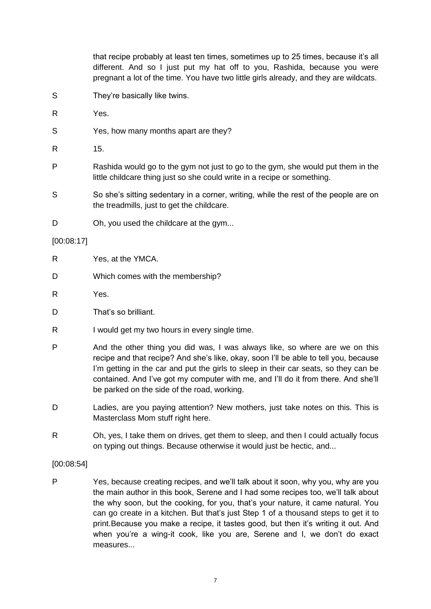that recipe probably at least ten times, sometimes up to 25 times, because it's all different. And so I just put my hat off to you, Rashida, because you were pregnant a lot of the time. You have two little girls already, and they are wildcats.

- S They're basically like twins.
- R Yes.
- S Yes, how many months apart are they?
- R 15.
- P Rashida would go to the gym not just to go to the gym, she would put them in the little childcare thing just so she could write in a recipe or something.
- S So she's sitting sedentary in a corner, writing, while the rest of the people are on the treadmills, just to get the childcare.
- D Oh, you used the childcare at the gym...

#### [00:08:17]

- R Yes, at the YMCA.
- D Which comes with the membership?
- R Yes.
- D That's so brilliant.
- R I would get my two hours in every single time.
- P And the other thing you did was, I was always like, so where are we on this recipe and that recipe? And she's like, okay, soon I'll be able to tell you, because I'm getting in the car and put the girls to sleep in their car seats, so they can be contained. And I've got my computer with me, and I'll do it from there. And she'll be parked on the side of the road, working.
- D Ladies, are you paying attention? New mothers, just take notes on this. This is Masterclass Mom stuff right here.
- R Oh, yes, I take them on drives, get them to sleep, and then I could actually focus on typing out things. Because otherwise it would just be hectic, and...

#### [00:08:54]

P Yes, because creating recipes, and we'll talk about it soon, why you, why are you the main author in this book, Serene and I had some recipes too, we'll talk about the why soon, but the cooking, for you, that's your nature, it came natural. You can go create in a kitchen. But that's just Step 1 of a thousand steps to get it to print.Because you make a recipe, it tastes good, but then it's writing it out. And when you're a wing-it cook, like you are, Serene and I, we don't do exact measures...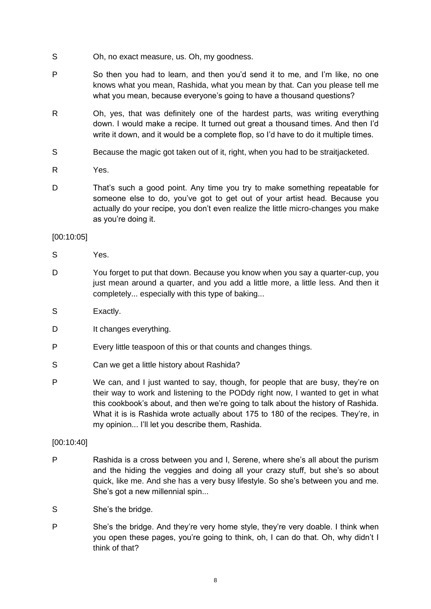- S Oh, no exact measure, us. Oh, my goodness.
- P So then you had to learn, and then you'd send it to me, and I'm like, no one knows what you mean, Rashida, what you mean by that. Can you please tell me what you mean, because everyone's going to have a thousand questions?
- R Oh, yes, that was definitely one of the hardest parts, was writing everything down. I would make a recipe. It turned out great a thousand times. And then I'd write it down, and it would be a complete flop, so I'd have to do it multiple times.
- S Because the magic got taken out of it, right, when you had to be straitjacketed.
- R Yes.
- D That's such a good point. Any time you try to make something repeatable for someone else to do, you've got to get out of your artist head. Because you actually do your recipe, you don't even realize the little micro-changes you make as you're doing it.

## [00:10:05]

S Yes.

- D You forget to put that down. Because you know when you say a quarter-cup, you just mean around a quarter, and you add a little more, a little less. And then it completely... especially with this type of baking...
- S Exactly.
- D It changes everything.
- P Every little teaspoon of this or that counts and changes things.
- S Can we get a little history about Rashida?
- P We can, and I just wanted to say, though, for people that are busy, they're on their way to work and listening to the PODdy right now, I wanted to get in what this cookbook's about, and then we're going to talk about the history of Rashida. What it is is Rashida wrote actually about 175 to 180 of the recipes. They're, in my opinion... I'll let you describe them, Rashida.

[00:10:40]

- P Rashida is a cross between you and I, Serene, where she's all about the purism and the hiding the veggies and doing all your crazy stuff, but she's so about quick, like me. And she has a very busy lifestyle. So she's between you and me. She's got a new millennial spin...
- S She's the bridge.
- P She's the bridge. And they're very home style, they're very doable. I think when you open these pages, you're going to think, oh, I can do that. Oh, why didn't I think of that?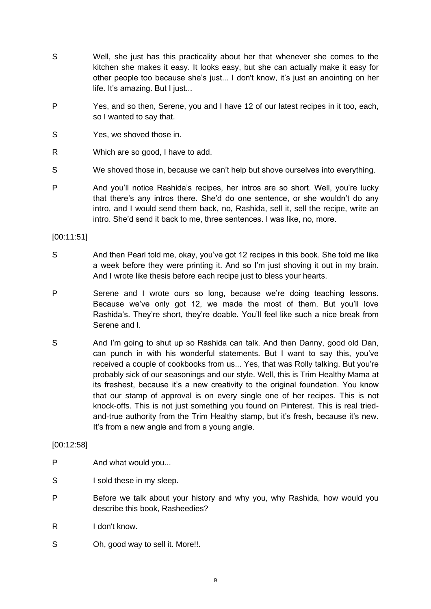- S Well, she just has this practicality about her that whenever she comes to the kitchen she makes it easy. It looks easy, but she can actually make it easy for other people too because she's just... I don't know, it's just an anointing on her life. It's amazing. But I just...
- P Yes, and so then, Serene, you and I have 12 of our latest recipes in it too, each, so I wanted to say that.
- S Yes, we shoved those in.
- R Which are so good, I have to add.
- S We shoved those in, because we can't help but shove ourselves into everything.
- P And you'll notice Rashida's recipes, her intros are so short. Well, you're lucky that there's any intros there. She'd do one sentence, or she wouldn't do any intro, and I would send them back, no, Rashida, sell it, sell the recipe, write an intro. She'd send it back to me, three sentences. I was like, no, more.

[00:11:51]

- S And then Pearl told me, okay, you've got 12 recipes in this book. She told me like a week before they were printing it. And so I'm just shoving it out in my brain. And I wrote like thesis before each recipe just to bless your hearts.
- P Serene and I wrote ours so long, because we're doing teaching lessons. Because we've only got 12, we made the most of them. But you'll love Rashida's. They're short, they're doable. You'll feel like such a nice break from Serene and I.
- S And I'm going to shut up so Rashida can talk. And then Danny, good old Dan, can punch in with his wonderful statements. But I want to say this, you've received a couple of cookbooks from us... Yes, that was Rolly talking. But you're probably sick of our seasonings and our style. Well, this is Trim Healthy Mama at its freshest, because it's a new creativity to the original foundation. You know that our stamp of approval is on every single one of her recipes. This is not knock-offs. This is not just something you found on Pinterest. This is real triedand-true authority from the Trim Healthy stamp, but it's fresh, because it's new. It's from a new angle and from a young angle.

#### [00:12:58]

- P And what would you...
- S I sold these in my sleep.
- P Before we talk about your history and why you, why Rashida, how would you describe this book, Rasheedies?
- R I don't know.
- S Oh, good way to sell it. More!!.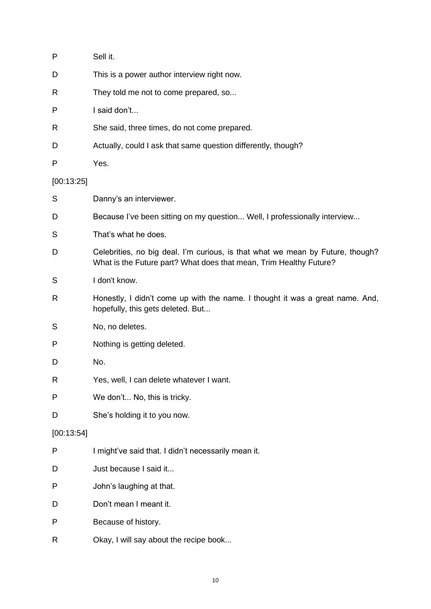| P            | Sell it.                                                                                                                                             |
|--------------|------------------------------------------------------------------------------------------------------------------------------------------------------|
| D            | This is a power author interview right now.                                                                                                          |
| R            | They told me not to come prepared, so                                                                                                                |
| P            | I said don't                                                                                                                                         |
| R            | She said, three times, do not come prepared.                                                                                                         |
| D            | Actually, could I ask that same question differently, though?                                                                                        |
| P            | Yes.                                                                                                                                                 |
| [00:13:25]   |                                                                                                                                                      |
| S            | Danny's an interviewer.                                                                                                                              |
| D            | Because I've been sitting on my question Well, I professionally interview                                                                            |
| S            | That's what he does.                                                                                                                                 |
| D            | Celebrities, no big deal. I'm curious, is that what we mean by Future, though?<br>What is the Future part? What does that mean, Trim Healthy Future? |
| S            | I don't know.                                                                                                                                        |
| R            | Honestly, I didn't come up with the name. I thought it was a great name. And,<br>hopefully, this gets deleted. But                                   |
| S            | No, no deletes.                                                                                                                                      |
| P            | Nothing is getting deleted.                                                                                                                          |
| D            | No.                                                                                                                                                  |
| $\mathsf{R}$ | Yes, well, I can delete whatever I want.                                                                                                             |
| P            | We don't No, this is tricky.                                                                                                                         |
| D            | She's holding it to you now.                                                                                                                         |
| [00:13:54]   |                                                                                                                                                      |
| P            | I might've said that. I didn't necessarily mean it.                                                                                                  |
| D            | Just because I said it                                                                                                                               |
| P            | John's laughing at that.                                                                                                                             |
| D            | Don't mean I meant it.                                                                                                                               |
| P            | Because of history.                                                                                                                                  |
| R            | Okay, I will say about the recipe book                                                                                                               |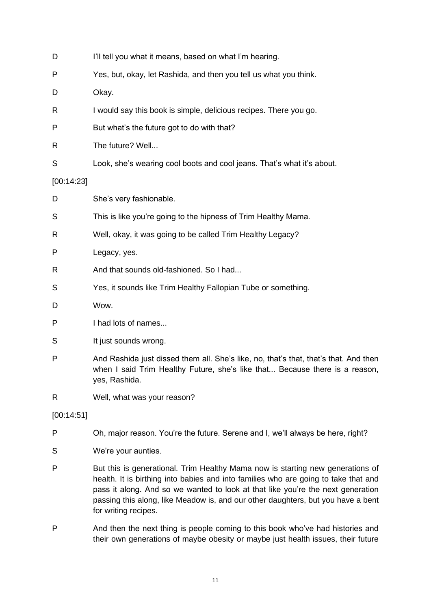| D          | I'll tell you what it means, based on what I'm hearing.                                                                                                                                                                                                                                                                                                              |
|------------|----------------------------------------------------------------------------------------------------------------------------------------------------------------------------------------------------------------------------------------------------------------------------------------------------------------------------------------------------------------------|
| P          | Yes, but, okay, let Rashida, and then you tell us what you think.                                                                                                                                                                                                                                                                                                    |
| D          | Okay.                                                                                                                                                                                                                                                                                                                                                                |
| R          | I would say this book is simple, delicious recipes. There you go.                                                                                                                                                                                                                                                                                                    |
| P          | But what's the future got to do with that?                                                                                                                                                                                                                                                                                                                           |
| R          | The future? Well                                                                                                                                                                                                                                                                                                                                                     |
| S          | Look, she's wearing cool boots and cool jeans. That's what it's about.                                                                                                                                                                                                                                                                                               |
| [00:14:23] |                                                                                                                                                                                                                                                                                                                                                                      |
| D          | She's very fashionable.                                                                                                                                                                                                                                                                                                                                              |
| S          | This is like you're going to the hipness of Trim Healthy Mama.                                                                                                                                                                                                                                                                                                       |
| R          | Well, okay, it was going to be called Trim Healthy Legacy?                                                                                                                                                                                                                                                                                                           |
| P          | Legacy, yes.                                                                                                                                                                                                                                                                                                                                                         |
| R          | And that sounds old-fashioned. So I had                                                                                                                                                                                                                                                                                                                              |
| S          | Yes, it sounds like Trim Healthy Fallopian Tube or something.                                                                                                                                                                                                                                                                                                        |
| D          | Wow.                                                                                                                                                                                                                                                                                                                                                                 |
| P          | I had lots of names                                                                                                                                                                                                                                                                                                                                                  |
| S          | It just sounds wrong.                                                                                                                                                                                                                                                                                                                                                |
| P          | And Rashida just dissed them all. She's like, no, that's that, that's that. And then<br>when I said Trim Healthy Future, she's like that Because there is a reason,<br>yes, Rashida.                                                                                                                                                                                 |
| R          | Well, what was your reason?                                                                                                                                                                                                                                                                                                                                          |
| [00:14:51] |                                                                                                                                                                                                                                                                                                                                                                      |
| P          | Oh, major reason. You're the future. Serene and I, we'll always be here, right?                                                                                                                                                                                                                                                                                      |
| S          | We're your aunties.                                                                                                                                                                                                                                                                                                                                                  |
| P          | But this is generational. Trim Healthy Mama now is starting new generations of<br>health. It is birthing into babies and into families who are going to take that and<br>pass it along. And so we wanted to look at that like you're the next generation<br>passing this along, like Meadow is, and our other daughters, but you have a bent<br>for writing recipes. |

P And then the next thing is people coming to this book who've had histories and their own generations of maybe obesity or maybe just health issues, their future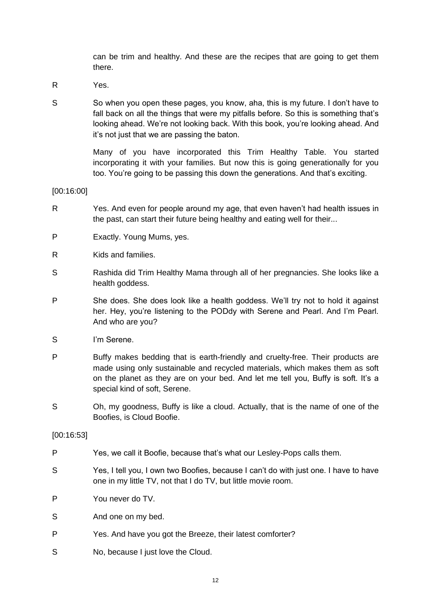can be trim and healthy. And these are the recipes that are going to get them there.

- R Yes.
- S So when you open these pages, you know, aha, this is my future. I don't have to fall back on all the things that were my pitfalls before. So this is something that's looking ahead. We're not looking back. With this book, you're looking ahead. And it's not just that we are passing the baton.

Many of you have incorporated this Trim Healthy Table. You started incorporating it with your families. But now this is going generationally for you too. You're going to be passing this down the generations. And that's exciting.

[00:16:00]

- R Yes. And even for people around my age, that even haven't had health issues in the past, can start their future being healthy and eating well for their...
- P Exactly. Young Mums, yes.
- R Kids and families.
- S Rashida did Trim Healthy Mama through all of her pregnancies. She looks like a health goddess.
- P She does. She does look like a health goddess. We'll try not to hold it against her. Hey, you're listening to the PODdy with Serene and Pearl. And I'm Pearl. And who are you?
- S I'm Serene.
- P Buffy makes bedding that is earth-friendly and cruelty-free. Their products are made using only sustainable and recycled materials, which makes them as soft on the planet as they are on your bed. And let me tell you, Buffy is soft. It's a special kind of soft, Serene.
- S Oh, my goodness, Buffy is like a cloud. Actually, that is the name of one of the Boofies, is Cloud Boofie.

[00:16:53]

- P Yes, we call it Boofie, because that's what our Lesley-Pops calls them.
- S Yes, I tell you, I own two Boofies, because I can't do with just one. I have to have one in my little TV, not that I do TV, but little movie room.
- P You never do TV.
- S And one on my bed.
- P Yes. And have you got the Breeze, their latest comforter?
- S No, because I just love the Cloud.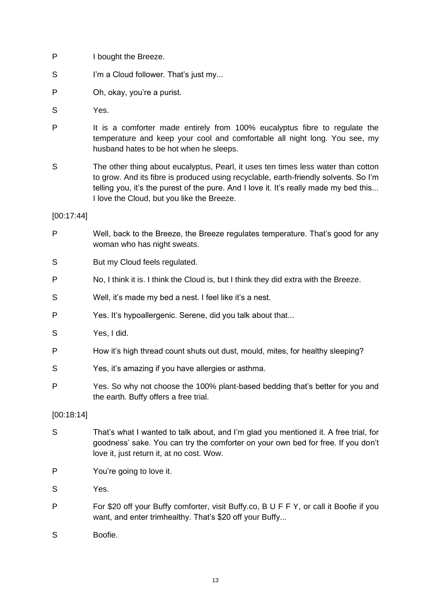- P I bought the Breeze.
- S I'm a Cloud follower. That's just my...
- P Oh, okay, you're a purist.
- S Yes.
- P It is a comforter made entirely from 100% eucalyptus fibre to regulate the temperature and keep your cool and comfortable all night long. You see, my husband hates to be hot when he sleeps.
- S The other thing about eucalyptus, Pearl, it uses ten times less water than cotton to grow. And its fibre is produced using recyclable, earth-friendly solvents. So I'm telling you, it's the purest of the pure. And I love it. It's really made my bed this... I love the Cloud, but you like the Breeze.

[00:17:44]

- P Well, back to the Breeze, the Breeze regulates temperature. That's good for any woman who has night sweats.
- S But my Cloud feels regulated.
- P No, I think it is. I think the Cloud is, but I think they did extra with the Breeze.
- S Well, it's made my bed a nest. I feel like it's a nest.
- P Yes. It's hypoallergenic. Serene, did you talk about that...
- S Yes, I did.
- P How it's high thread count shuts out dust, mould, mites, for healthy sleeping?
- S Yes, it's amazing if you have allergies or asthma.
- P Yes. So why not choose the 100% plant-based bedding that's better for you and the earth. Buffy offers a free trial.

[00:18:14]

- S That's what I wanted to talk about, and I'm glad you mentioned it. A free trial, for goodness' sake. You can try the comforter on your own bed for free. If you don't love it, just return it, at no cost. Wow.
- P You're going to love it.
- S Yes.
- P For \$20 off your Buffy comforter, visit Buffy.co, B U F F Y, or call it Boofie if you want, and enter trimhealthy. That's \$20 off your Buffy...
- S Boofie.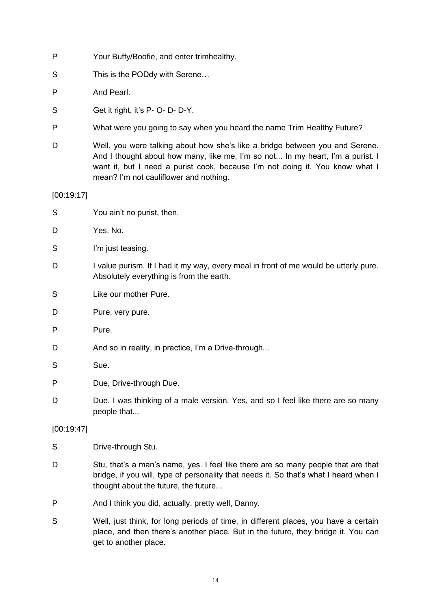- P Your Buffy/Boofie, and enter trimhealthy.
- S This is the PODdy with Serene...
- P And Pearl.
- S Get it right, it's P- O- D- D-Y.
- P What were you going to say when you heard the name Trim Healthy Future?
- D Well, you were talking about how she's like a bridge between you and Serene. And I thought about how many, like me, I'm so not... In my heart, I'm a purist. I want it, but I need a purist cook, because I'm not doing it. You know what I mean? I'm not cauliflower and nothing.

[00:19:17]

- S You ain't no purist, then.
- D Yes. No.
- S I'm just teasing.
- D I value purism. If I had it my way, every meal in front of me would be utterly pure. Absolutely everything is from the earth.
- S Like our mother Pure.
- D Pure, very pure.
- P Pure.
- D And so in reality, in practice, I'm a Drive-through...
- S Sue.
- P Due, Drive-through Due.
- D Due. I was thinking of a male version. Yes, and so I feel like there are so many people that...

#### [00:19:47]

- S Drive-through Stu.
- D Stu, that's a man's name, yes. I feel like there are so many people that are that bridge, if you will, type of personality that needs it. So that's what I heard when I thought about the future, the future...
- P And I think you did, actually, pretty well, Danny.
- S Well, just think, for long periods of time, in different places, you have a certain place, and then there's another place. But in the future, they bridge it. You can get to another place.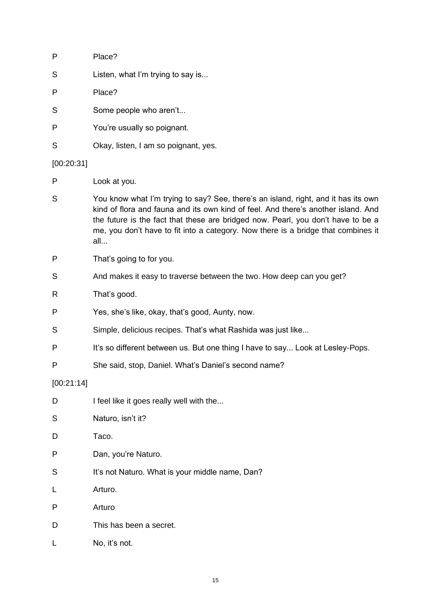| P          | Place?                                                                                                                                                                                                                                                                                                                                                  |
|------------|---------------------------------------------------------------------------------------------------------------------------------------------------------------------------------------------------------------------------------------------------------------------------------------------------------------------------------------------------------|
| S          | Listen, what I'm trying to say is                                                                                                                                                                                                                                                                                                                       |
| P          | Place?                                                                                                                                                                                                                                                                                                                                                  |
| S          | Some people who aren't                                                                                                                                                                                                                                                                                                                                  |
| P          | You're usually so poignant.                                                                                                                                                                                                                                                                                                                             |
| S          | Okay, listen, I am so poignant, yes.                                                                                                                                                                                                                                                                                                                    |
| [00:20:31] |                                                                                                                                                                                                                                                                                                                                                         |
| P          | Look at you.                                                                                                                                                                                                                                                                                                                                            |
| S          | You know what I'm trying to say? See, there's an island, right, and it has its own<br>kind of flora and fauna and its own kind of feel. And there's another island. And<br>the future is the fact that these are bridged now. Pearl, you don't have to be a<br>me, you don't have to fit into a category. Now there is a bridge that combines it<br>all |
| P          | That's going to for you.                                                                                                                                                                                                                                                                                                                                |
| S          | And makes it easy to traverse between the two. How deep can you get?                                                                                                                                                                                                                                                                                    |
| R          | That's good.                                                                                                                                                                                                                                                                                                                                            |
| P          | Yes, she's like, okay, that's good, Aunty, now.                                                                                                                                                                                                                                                                                                         |
| S          | Simple, delicious recipes. That's what Rashida was just like                                                                                                                                                                                                                                                                                            |
| P          | It's so different between us. But one thing I have to say Look at Lesley-Pops.                                                                                                                                                                                                                                                                          |
| P          | She said, stop, Daniel. What's Daniel's second name?                                                                                                                                                                                                                                                                                                    |
| [00:21:14] |                                                                                                                                                                                                                                                                                                                                                         |
| D          | I feel like it goes really well with the                                                                                                                                                                                                                                                                                                                |
| S          | Naturo, isn't it?                                                                                                                                                                                                                                                                                                                                       |
| D          | Taco.                                                                                                                                                                                                                                                                                                                                                   |
| P          | Dan, you're Naturo.                                                                                                                                                                                                                                                                                                                                     |
| S          | It's not Naturo. What is your middle name, Dan?                                                                                                                                                                                                                                                                                                         |
| L          | Arturo.                                                                                                                                                                                                                                                                                                                                                 |
| P          | Arturo                                                                                                                                                                                                                                                                                                                                                  |
| D          | This has been a secret.                                                                                                                                                                                                                                                                                                                                 |
|            | No, it's not.                                                                                                                                                                                                                                                                                                                                           |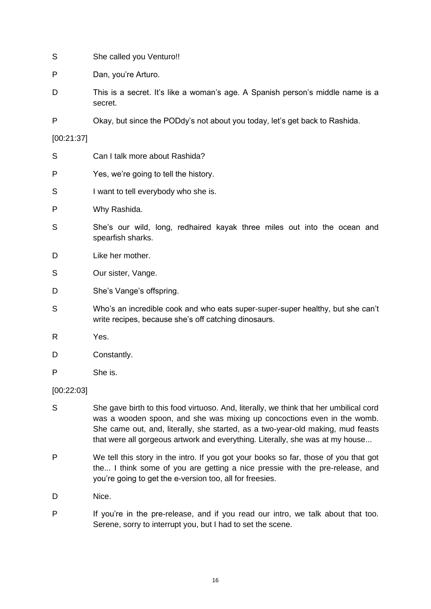- S She called you Venturo!!
- P Dan, you're Arturo.
- D This is a secret. It's like a woman's age. A Spanish person's middle name is a secret.
- P Okay, but since the PODdy's not about you today, let's get back to Rashida.

[00:21:37]

- S Can I talk more about Rashida?
- P Yes, we're going to tell the history.
- S I want to tell everybody who she is.
- P Why Rashida.
- S She's our wild, long, redhaired kayak three miles out into the ocean and spearfish sharks.
- D Like her mother.
- S Our sister, Vange.
- D She's Vange's offspring.
- S Who's an incredible cook and who eats super-super-super healthy, but she can't write recipes, because she's off catching dinosaurs.
- R Yes.
- D Constantly.
- P She is.

#### [00:22:03]

- S She gave birth to this food virtuoso. And, literally, we think that her umbilical cord was a wooden spoon, and she was mixing up concoctions even in the womb. She came out, and, literally, she started, as a two-year-old making, mud feasts that were all gorgeous artwork and everything. Literally, she was at my house...
- P We tell this story in the intro. If you got your books so far, those of you that got the... I think some of you are getting a nice pressie with the pre-release, and you're going to get the e-version too, all for freesies.
- D Nice.
- P If you're in the pre-release, and if you read our intro, we talk about that too. Serene, sorry to interrupt you, but I had to set the scene.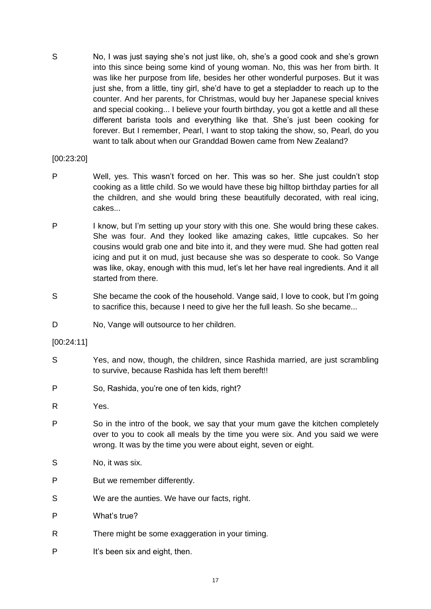S No, I was just saying she's not just like, oh, she's a good cook and she's grown into this since being some kind of young woman. No, this was her from birth. It was like her purpose from life, besides her other wonderful purposes. But it was just she, from a little, tiny girl, she'd have to get a stepladder to reach up to the counter. And her parents, for Christmas, would buy her Japanese special knives and special cooking... I believe your fourth birthday, you got a kettle and all these different barista tools and everything like that. She's just been cooking for forever. But I remember, Pearl, I want to stop taking the show, so, Pearl, do you want to talk about when our Granddad Bowen came from New Zealand?

## [00:23:20]

- P Well, yes. This wasn't forced on her. This was so her. She just couldn't stop cooking as a little child. So we would have these big hilltop birthday parties for all the children, and she would bring these beautifully decorated, with real icing, cakes...
- P I know, but I'm setting up your story with this one. She would bring these cakes. She was four. And they looked like amazing cakes, little cupcakes. So her cousins would grab one and bite into it, and they were mud. She had gotten real icing and put it on mud, just because she was so desperate to cook. So Vange was like, okay, enough with this mud, let's let her have real ingredients. And it all started from there.
- S She became the cook of the household. Vange said, I love to cook, but I'm going to sacrifice this, because I need to give her the full leash. So she became...
- D No, Vange will outsource to her children.

#### [00:24:11]

- S Yes, and now, though, the children, since Rashida married, are just scrambling to survive, because Rashida has left them bereft!!
- P So, Rashida, you're one of ten kids, right?
- R Yes.
- P So in the intro of the book, we say that your mum gave the kitchen completely over to you to cook all meals by the time you were six. And you said we were wrong. It was by the time you were about eight, seven or eight.
- S No, it was six.
- P But we remember differently.
- S We are the aunties. We have our facts, right.
- P What's true?
- R There might be some exaggeration in your timing.
- P It's been six and eight, then.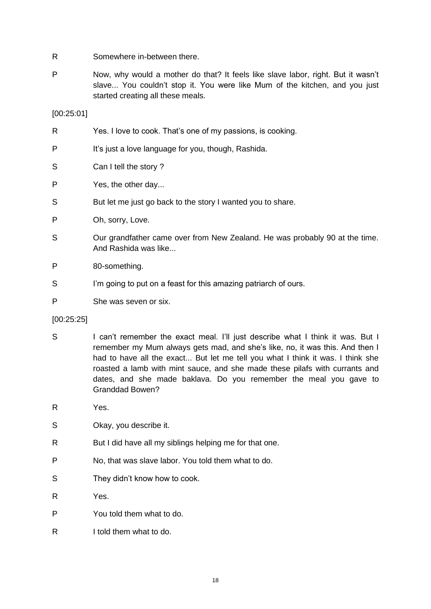- R Somewhere in-between there.
- P Now, why would a mother do that? It feels like slave labor, right. But it wasn't slave... You couldn't stop it. You were like Mum of the kitchen, and you just started creating all these meals.

[00:25:01]

| R | Yes. I love to cook. That's one of my passions, is cooking.                                         |
|---|-----------------------------------------------------------------------------------------------------|
| P | It's just a love language for you, though, Rashida.                                                 |
| S | Can I tell the story?                                                                               |
| P | Yes, the other day                                                                                  |
| S | But let me just go back to the story I wanted you to share.                                         |
| P | Oh, sorry, Love.                                                                                    |
| S | Our grandfather came over from New Zealand. He was probably 90 at the time.<br>And Rashida was like |
| P | 80-something.                                                                                       |
| S | I'm going to put on a feast for this amazing patriarch of ours.                                     |
| P | She was seven or six.                                                                               |
|   |                                                                                                     |

- [00:25:25]
- S I can't remember the exact meal. I'll just describe what I think it was. But I remember my Mum always gets mad, and she's like, no, it was this. And then I had to have all the exact... But let me tell you what I think it was. I think she roasted a lamb with mint sauce, and she made these pilafs with currants and dates, and she made baklava. Do you remember the meal you gave to Granddad Bowen?
- R Yes.
- S Okay, you describe it.
- R But I did have all my siblings helping me for that one.
- P No, that was slave labor. You told them what to do.
- S They didn't know how to cook.
- R Yes.
- P You told them what to do.
- R I told them what to do.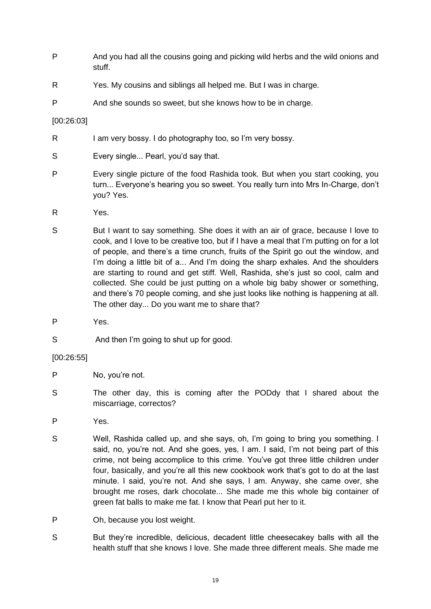- P And you had all the cousins going and picking wild herbs and the wild onions and stuff.
- R Yes. My cousins and siblings all helped me. But I was in charge.
- P And she sounds so sweet, but she knows how to be in charge.

# [00:26:03]

- R I am very bossy. I do photography too, so I'm very bossy.
- S Every single... Pearl, you'd say that.
- P Every single picture of the food Rashida took. But when you start cooking, you turn... Everyone's hearing you so sweet. You really turn into Mrs In-Charge, don't you? Yes.
- R Yes.
- S But I want to say something. She does it with an air of grace, because I love to cook, and I love to be creative too, but if I have a meal that I'm putting on for a lot of people, and there's a time crunch, fruits of the Spirit go out the window, and I'm doing a little bit of a... And I'm doing the sharp exhales. And the shoulders are starting to round and get stiff. Well, Rashida, she's just so cool, calm and collected. She could be just putting on a whole big baby shower or something, and there's 70 people coming, and she just looks like nothing is happening at all. The other day... Do you want me to share that?
- P Yes.
- S And then I'm going to shut up for good.

[00:26:55]

- P No, you're not.
- S The other day, this is coming after the PODdy that I shared about the miscarriage, correctos?
- P Yes.
- S Well, Rashida called up, and she says, oh, I'm going to bring you something. I said, no, you're not. And she goes, yes, I am. I said, I'm not being part of this crime, not being accomplice to this crime. You've got three little children under four, basically, and you're all this new cookbook work that's got to do at the last minute. I said, you're not. And she says, I am. Anyway, she came over, she brought me roses, dark chocolate... She made me this whole big container of green fat balls to make me fat. I know that Pearl put her to it.
- P Oh, because you lost weight.
- S But they're incredible, delicious, decadent little cheesecakey balls with all the health stuff that she knows I love. She made three different meals. She made me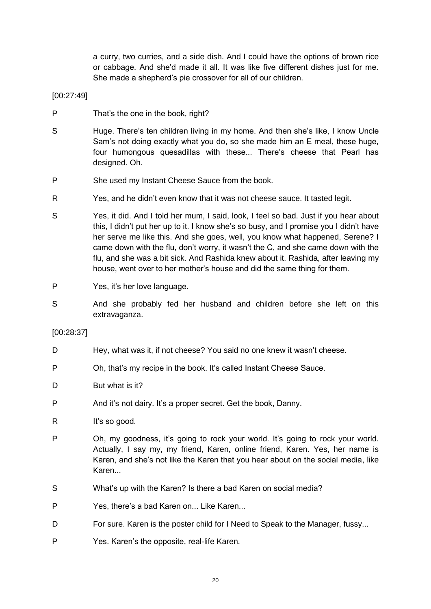a curry, two curries, and a side dish. And I could have the options of brown rice or cabbage. And she'd made it all. It was like five different dishes just for me. She made a shepherd's pie crossover for all of our children.

[00:27:49]

- P That's the one in the book, right?
- S Huge. There's ten children living in my home. And then she's like, I know Uncle Sam's not doing exactly what you do, so she made him an E meal, these huge, four humongous quesadillas with these... There's cheese that Pearl has designed. Oh.
- P She used my Instant Cheese Sauce from the book.
- R Yes, and he didn't even know that it was not cheese sauce. It tasted legit.
- S Yes, it did. And I told her mum, I said, look, I feel so bad. Just if you hear about this, I didn't put her up to it. I know she's so busy, and I promise you I didn't have her serve me like this. And she goes, well, you know what happened, Serene? I came down with the flu, don't worry, it wasn't the C, and she came down with the flu, and she was a bit sick. And Rashida knew about it. Rashida, after leaving my house, went over to her mother's house and did the same thing for them.
- P Yes, it's her love language.
- S And she probably fed her husband and children before she left on this extravaganza.

#### [00:28:37]

- D Hey, what was it, if not cheese? You said no one knew it wasn't cheese.
- P Oh, that's my recipe in the book. It's called Instant Cheese Sauce.
- D But what is it?
- P And it's not dairy. It's a proper secret. Get the book, Danny.
- R It's so good.
- P Oh, my goodness, it's going to rock your world. It's going to rock your world. Actually, I say my, my friend, Karen, online friend, Karen. Yes, her name is Karen, and she's not like the Karen that you hear about on the social media, like Karen...
- S What's up with the Karen? Is there a bad Karen on social media?
- P Yes, there's a bad Karen on... Like Karen...
- D For sure. Karen is the poster child for I Need to Speak to the Manager, fussy...
- P Yes. Karen's the opposite, real-life Karen.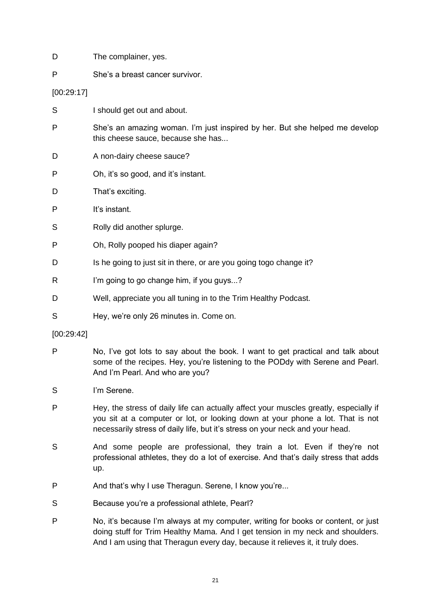- D The complainer, yes.
- P She's a breast cancer survivor.

[00:29:17]

- S I should get out and about.
- P She's an amazing woman. I'm just inspired by her. But she helped me develop this cheese sauce, because she has...
- D A non-dairy cheese sauce?
- P Oh, it's so good, and it's instant.
- D That's exciting.
- P It's instant.
- S Rolly did another splurge.
- P Oh, Rolly pooped his diaper again?
- D Is he going to just sit in there, or are you going togo change it?
- R I'm going to go change him, if you guys...?
- D Well, appreciate you all tuning in to the Trim Healthy Podcast.
- S Hey, we're only 26 minutes in. Come on.

[00:29:42]

- P No, I've got lots to say about the book. I want to get practical and talk about some of the recipes. Hey, you're listening to the PODdy with Serene and Pearl. And I'm Pearl. And who are you?
- S I'm Serene.
- P Hey, the stress of daily life can actually affect your muscles greatly, especially if you sit at a computer or lot, or looking down at your phone a lot. That is not necessarily stress of daily life, but it's stress on your neck and your head.
- S And some people are professional, they train a lot. Even if they're not professional athletes, they do a lot of exercise. And that's daily stress that adds up.
- P And that's why I use Theragun. Serene, I know you're...
- S Because you're a professional athlete, Pearl?
- P No, it's because I'm always at my computer, writing for books or content, or just doing stuff for Trim Healthy Mama. And I get tension in my neck and shoulders. And I am using that Theragun every day, because it relieves it, it truly does.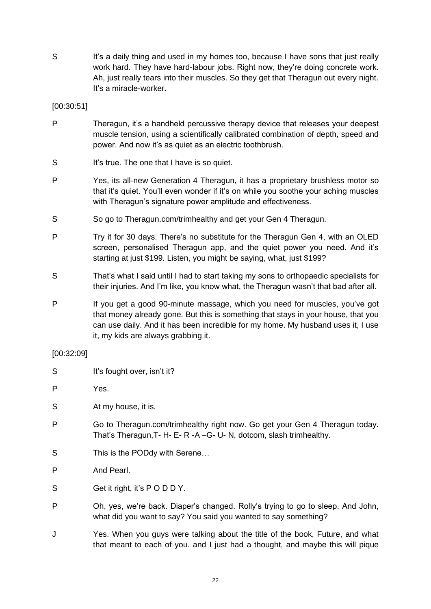S It's a daily thing and used in my homes too, because I have sons that just really work hard. They have hard-labour jobs. Right now, they're doing concrete work. Ah, just really tears into their muscles. So they get that Theragun out every night. It's a miracle-worker.

[00:30:51]

- P Theragun, it's a handheld percussive therapy device that releases your deepest muscle tension, using a scientifically calibrated combination of depth, speed and power. And now it's as quiet as an electric toothbrush.
- S It's true. The one that I have is so quiet.
- P Yes, its all-new Generation 4 Theragun, it has a proprietary brushless motor so that it's quiet. You'll even wonder if it's on while you soothe your aching muscles with Theragun's signature power amplitude and effectiveness.
- S So go to Theragun.com/trimhealthy and get your Gen 4 Theragun.
- P Try it for 30 days. There's no substitute for the Theragun Gen 4, with an OLED screen, personalised Theragun app, and the quiet power you need. And it's starting at just \$199. Listen, you might be saying, what, just \$199?
- S That's what I said until I had to start taking my sons to orthopaedic specialists for their injuries. And I'm like, you know what, the Theragun wasn't that bad after all.
- P If you get a good 90-minute massage, which you need for muscles, you've got that money already gone. But this is something that stays in your house, that you can use daily. And it has been incredible for my home. My husband uses it, I use it, my kids are always grabbing it.

#### [00:32:09]

- S It's fought over, isn't it?
- P Yes.
- S At my house, it is.
- P Go to Theragun.com/trimhealthy right now. Go get your Gen 4 Theragun today. That's Theragun,T- H- E- R -A –G- U- N, dotcom, slash trimhealthy.
- S This is the PODdy with Serene...
- P And Pearl.
- S Get it right, it's PODDY.
- P Oh, yes, we're back. Diaper's changed. Rolly's trying to go to sleep. And John, what did you want to say? You said you wanted to say something?
- J Yes. When you guys were talking about the title of the book, Future, and what that meant to each of you. and I just had a thought, and maybe this will pique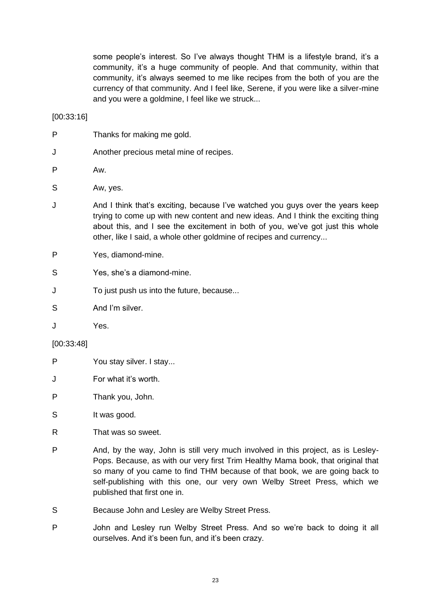some people's interest. So I've always thought THM is a lifestyle brand, it's a community, it's a huge community of people. And that community, within that community, it's always seemed to me like recipes from the both of you are the currency of that community. And I feel like, Serene, if you were like a silver-mine and you were a goldmine, I feel like we struck...

[00:33:16]

- P Thanks for making me gold.
- J Another precious metal mine of recipes.

P Aw.

- S Aw. ves.
- J And I think that's exciting, because I've watched you guys over the years keep trying to come up with new content and new ideas. And I think the exciting thing about this, and I see the excitement in both of you, we've got just this whole other, like I said, a whole other goldmine of recipes and currency...
- P Yes, diamond-mine.
- S Yes, she's a diamond-mine.
- J To just push us into the future, because...
- S And I'm silver
- J Yes.

#### [00:33:48]

- P You stay silver. I stay...
- J For what it's worth.
- P Thank you, John.
- S It was good.
- R That was so sweet.
- P And, by the way, John is still very much involved in this project, as is Lesley-Pops. Because, as with our very first Trim Healthy Mama book, that original that so many of you came to find THM because of that book, we are going back to self-publishing with this one, our very own Welby Street Press, which we published that first one in.
- S Because John and Lesley are Welby Street Press.
- P John and Lesley run Welby Street Press. And so we're back to doing it all ourselves. And it's been fun, and it's been crazy.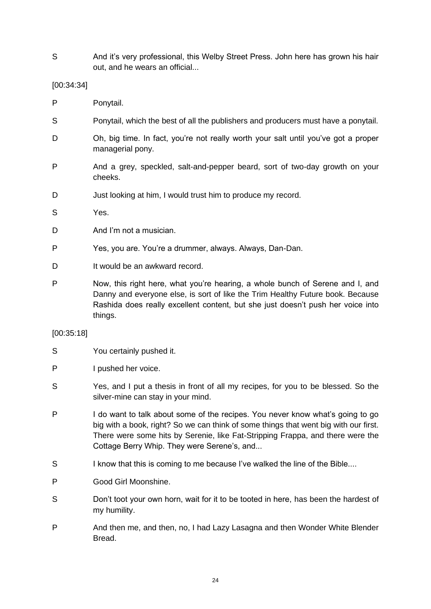S And it's very professional, this Welby Street Press. John here has grown his hair out, and he wears an official...

# [00:34:34]

- P Ponytail.
- S Ponytail, which the best of all the publishers and producers must have a ponytail.
- D Oh, big time. In fact, you're not really worth your salt until you've got a proper managerial pony.
- P And a grey, speckled, salt-and-pepper beard, sort of two-day growth on your cheeks.
- D Just looking at him, I would trust him to produce my record.
- S Yes.
- D And I'm not a musician
- P Yes, you are. You're a drummer, always. Always, Dan-Dan.
- D It would be an awkward record.
- P Now, this right here, what you're hearing, a whole bunch of Serene and I, and Danny and everyone else, is sort of like the Trim Healthy Future book. Because Rashida does really excellent content, but she just doesn't push her voice into things.

#### [00:35:18]

- S You certainly pushed it.
- P I pushed her voice.
- S Yes, and I put a thesis in front of all my recipes, for you to be blessed. So the silver-mine can stay in your mind.
- P I do want to talk about some of the recipes. You never know what's going to go big with a book, right? So we can think of some things that went big with our first. There were some hits by Serenie, like Fat-Stripping Frappa, and there were the Cottage Berry Whip. They were Serene's, and...
- S I know that this is coming to me because I've walked the line of the Bible....
- P Good Girl Moonshine.
- S Don't toot your own horn, wait for it to be tooted in here, has been the hardest of my humility.
- P And then me, and then, no, I had Lazy Lasagna and then Wonder White Blender Bread.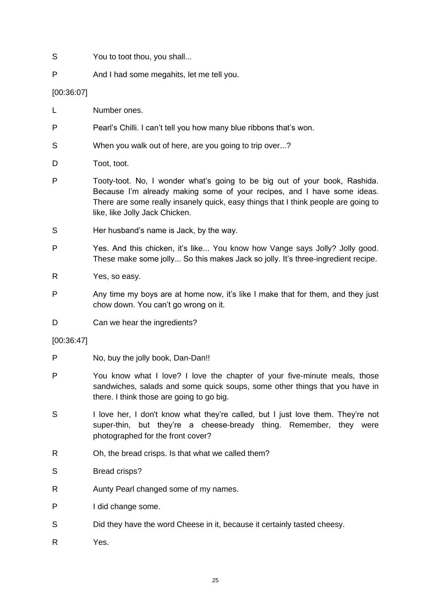- S You to toot thou, you shall...
- P And I had some megahits, let me tell you.

# [00:36:07]

- L Number ones.
- P Pearl's Chilli. I can't tell you how many blue ribbons that's won.
- S When you walk out of here, are you going to trip over...?
- D Toot, toot.
- P Tooty-toot. No, I wonder what's going to be big out of your book, Rashida. Because I'm already making some of your recipes, and I have some ideas. There are some really insanely quick, easy things that I think people are going to like, like Jolly Jack Chicken.
- S Her husband's name is Jack, by the way.
- P Yes. And this chicken, it's like... You know how Vange says Jolly? Jolly good. These make some jolly... So this makes Jack so jolly. It's three-ingredient recipe.
- R Yes, so easy.
- P Any time my boys are at home now, it's like I make that for them, and they just chow down. You can't go wrong on it.
- D Can we hear the ingredients?
- [00:36:47]
- P No, buy the jolly book, Dan-Dan!!
- P You know what I love? I love the chapter of your five-minute meals, those sandwiches, salads and some quick soups, some other things that you have in there. I think those are going to go big.
- S I love her, I don't know what they're called, but I just love them. They're not super-thin, but they're a cheese-bready thing. Remember, they were photographed for the front cover?
- R Oh, the bread crisps. Is that what we called them?
- S Bread crisps?
- R Aunty Pearl changed some of my names.
- P I did change some.
- S Did they have the word Cheese in it, because it certainly tasted cheesy.
- R Yes.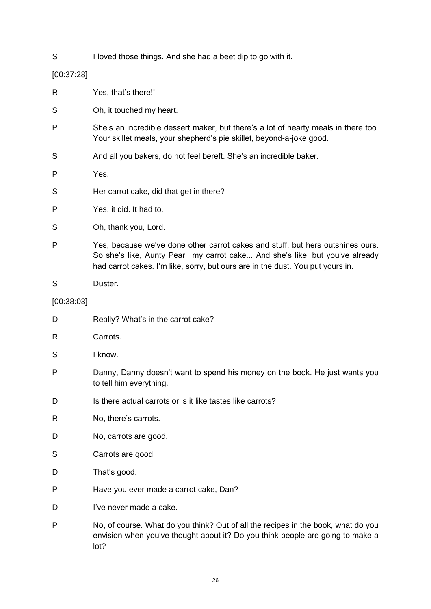S I loved those things. And she had a beet dip to go with it.

# [00:37:28]

| R          | Yes, that's there!!                                                                                                                                                                                                                               |
|------------|---------------------------------------------------------------------------------------------------------------------------------------------------------------------------------------------------------------------------------------------------|
| S          | Oh, it touched my heart.                                                                                                                                                                                                                          |
| P          | She's an incredible dessert maker, but there's a lot of hearty meals in there too.<br>Your skillet meals, your shepherd's pie skillet, beyond-a-joke good.                                                                                        |
| S          | And all you bakers, do not feel bereft. She's an incredible baker.                                                                                                                                                                                |
| P          | Yes.                                                                                                                                                                                                                                              |
| S          | Her carrot cake, did that get in there?                                                                                                                                                                                                           |
| P          | Yes, it did. It had to.                                                                                                                                                                                                                           |
| S          | Oh, thank you, Lord.                                                                                                                                                                                                                              |
| P          | Yes, because we've done other carrot cakes and stuff, but hers outshines ours.<br>So she's like, Aunty Pearl, my carrot cake And she's like, but you've already<br>had carrot cakes. I'm like, sorry, but ours are in the dust. You put yours in. |
| S          | Duster.                                                                                                                                                                                                                                           |
| [00:38:03] |                                                                                                                                                                                                                                                   |
| D          | Really? What's in the carrot cake?                                                                                                                                                                                                                |
| R          | Carrots.                                                                                                                                                                                                                                          |
| S          | I know.                                                                                                                                                                                                                                           |
| P          | Danny, Danny doesn't want to spend his money on the book. He just wants you<br>to tell him everything.                                                                                                                                            |
| D          | Is there actual carrots or is it like tastes like carrots?                                                                                                                                                                                        |
| R          | No, there's carrots.                                                                                                                                                                                                                              |
| D          | No, carrots are good.                                                                                                                                                                                                                             |
| S          | Carrots are good.                                                                                                                                                                                                                                 |
| D          | That's good.                                                                                                                                                                                                                                      |
| P          | Have you ever made a carrot cake, Dan?                                                                                                                                                                                                            |
| D          | l've never made a cake.                                                                                                                                                                                                                           |
| P          | No, of course. What do you think? Out of all the recipes in the book, what do you<br>envision when you've thought about it? Do you think people are going to make a<br>lot?                                                                       |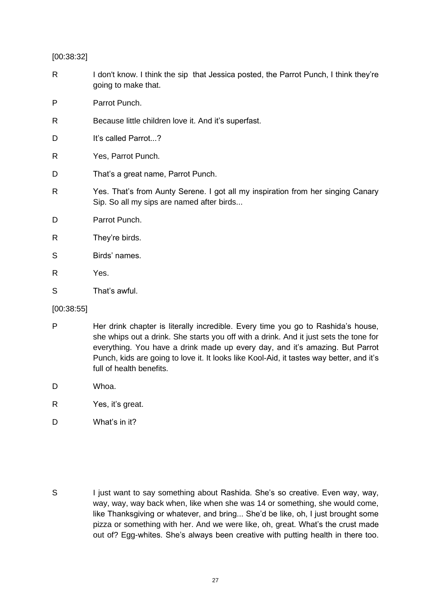[00:38:32]

- R I don't know. I think the sip that Jessica posted, the Parrot Punch, I think they're going to make that.
- P Parrot Punch.
- R Because little children love it. And it's superfast.
- D It's called Parrot...?
- R Yes, Parrot Punch.
- D That's a great name, Parrot Punch.
- R Yes. That's from Aunty Serene. I got all my inspiration from her singing Canary Sip. So all my sips are named after birds...
- D Parrot Punch.
- R They're birds.
- S Birds' names.
- R Yes.
- S That's awful.

# [00:38:55]

- P Her drink chapter is literally incredible. Every time you go to Rashida's house, she whips out a drink. She starts you off with a drink. And it just sets the tone for everything. You have a drink made up every day, and it's amazing. But Parrot Punch, kids are going to love it. It looks like Kool-Aid, it tastes way better, and it's full of health benefits.
- D Whoa.
- R Yes, it's great.
- D What's in it?

S I just want to say something about Rashida. She's so creative. Even way, way, way, way, way back when, like when she was 14 or something, she would come, like Thanksgiving or whatever, and bring... She'd be like, oh, I just brought some pizza or something with her. And we were like, oh, great. What's the crust made out of? Egg-whites. She's always been creative with putting health in there too.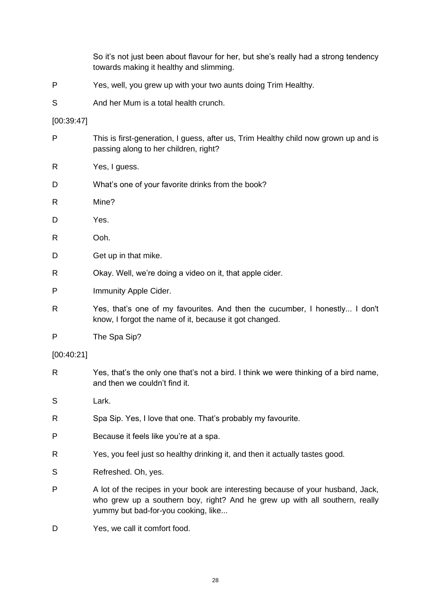So it's not just been about flavour for her, but she's really had a strong tendency towards making it healthy and slimming.

- P Yes, well, you grew up with your two aunts doing Trim Healthy.
- S And her Mum is a total health crunch.

#### [00:39:47]

- P This is first-generation, I guess, after us, Trim Healthy child now grown up and is passing along to her children, right? R Yes, I guess. D What's one of your favorite drinks from the book? R Mine? D Yes. R Ooh. D Get up in that mike. R Okay. Well, we're doing a video on it, that apple cider. P Immunity Apple Cider. R Yes, that's one of my favourites. And then the cucumber, I honestly... I don't know, I forgot the name of it, because it got changed. P The Spa Sip? [00:40:21] R Yes, that's the only one that's not a bird. I think we were thinking of a bird name, and then we couldn't find it. S Lark. R Spa Sip. Yes, I love that one. That's probably my favourite. P Because it feels like you're at a spa. R Yes, you feel just so healthy drinking it, and then it actually tastes good. S Refreshed. Oh, yes. P A lot of the recipes in your book are interesting because of your husband, Jack, who grew up a southern boy, right? And he grew up with all southern, really
- D Yes, we call it comfort food.

yummy but bad-for-you cooking, like...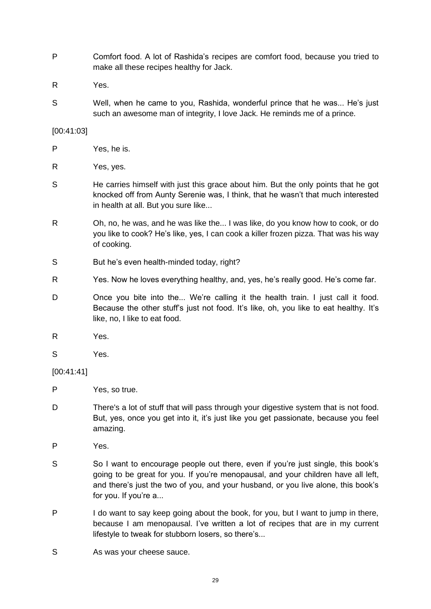- P Comfort food. A lot of Rashida's recipes are comfort food, because you tried to make all these recipes healthy for Jack.
- R Yes.
- S Well, when he came to you, Rashida, wonderful prince that he was... He's just such an awesome man of integrity, I love Jack. He reminds me of a prince.

#### [00:41:03]

- P Yes, he is.
- R Yes, yes.
- S He carries himself with just this grace about him. But the only points that he got knocked off from Aunty Serenie was, I think, that he wasn't that much interested in health at all. But you sure like...
- R Oh, no, he was, and he was like the... I was like, do you know how to cook, or do you like to cook? He's like, yes, I can cook a killer frozen pizza. That was his way of cooking.
- S But he's even health-minded today, right?
- R Yes. Now he loves everything healthy, and, yes, he's really good. He's come far.
- D Once you bite into the... We're calling it the health train. I just call it food. Because the other stuff's just not food. It's like, oh, you like to eat healthy. It's like, no, I like to eat food.
- R Yes.
- S Yes.

# [00:41:41]

- P Yes, so true.
- D There's a lot of stuff that will pass through your digestive system that is not food. But, yes, once you get into it, it's just like you get passionate, because you feel amazing.
- P Yes.
- S So I want to encourage people out there, even if you're just single, this book's going to be great for you. If you're menopausal, and your children have all left, and there's just the two of you, and your husband, or you live alone, this book's for you. If you're a...
- P I do want to say keep going about the book, for you, but I want to jump in there, because I am menopausal. I've written a lot of recipes that are in my current lifestyle to tweak for stubborn losers, so there's...
- S As was your cheese sauce.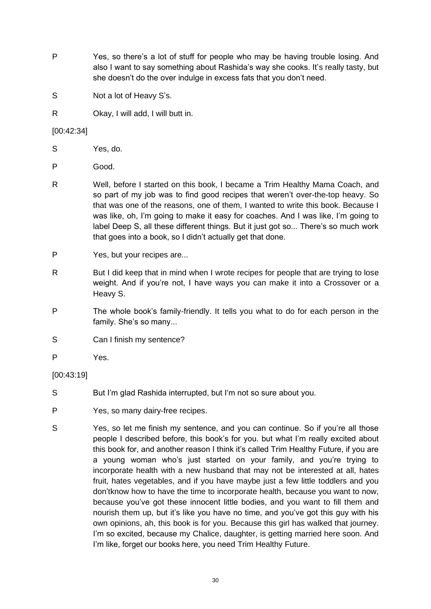- P Yes, so there's a lot of stuff for people who may be having trouble losing. And also I want to say something about Rashida's way she cooks. It's really tasty, but she doesn't do the over indulge in excess fats that you don't need.
- S Not a lot of Heavy S's.
- R Okay, I will add, I will butt in.

# [00:42:34]

- S Yes, do.
- P Good.
- R Well, before I started on this book, I became a Trim Healthy Mama Coach, and so part of my job was to find good recipes that weren't over-the-top heavy. So that was one of the reasons, one of them, I wanted to write this book. Because I was like, oh, I'm going to make it easy for coaches. And I was like, I'm going to label Deep S, all these different things. But it just got so... There's so much work that goes into a book, so I didn't actually get that done.
- P Yes, but your recipes are...
- R But I did keep that in mind when I wrote recipes for people that are trying to lose weight. And if you're not, I have ways you can make it into a Crossover or a Heavy S.
- P The whole book's family-friendly. It tells you what to do for each person in the family. She's so many...
- S Can I finish my sentence?
- P Yes.

# [00:43:19]

- S But I'm glad Rashida interrupted, but I'm not so sure about you.
- P Yes, so many dairy-free recipes.
- S Yes, so let me finish my sentence, and you can continue. So if you're all those people I described before, this book's for you. but what I'm really excited about this book for, and another reason I think it's called Trim Healthy Future, if you are a young woman who's just started on your family, and you're trying to incorporate health with a new husband that may not be interested at all, hates fruit, hates vegetables, and if you have maybe just a few little toddlers and you don'tknow how to have the time to incorporate health, because you want to now, because you've got these innocent little bodies, and you want to fill them and nourish them up, but it's like you have no time, and you've got this guy with his own opinions, ah, this book is for you. Because this girl has walked that journey. I'm so excited, because my Chalice, daughter, is getting married here soon. And I'm like, forget our books here, you need Trim Healthy Future.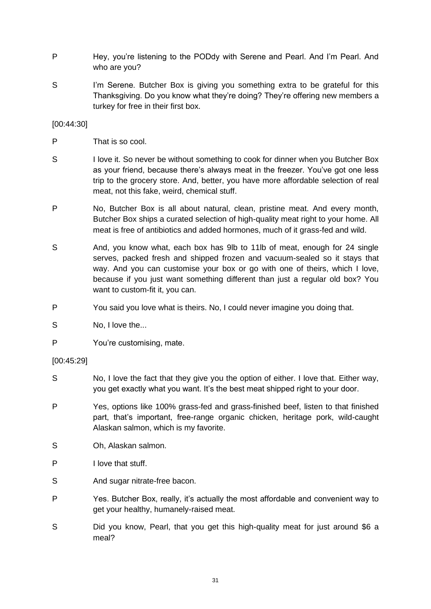- P Hey, you're listening to the PODdy with Serene and Pearl. And I'm Pearl. And who are you?
- S I'm Serene. Butcher Box is giving you something extra to be grateful for this Thanksgiving. Do you know what they're doing? They're offering new members a turkey for free in their first box.

[00:44:30]

- P That is so cool.
- S I love it. So never be without something to cook for dinner when you Butcher Box as your friend, because there's always meat in the freezer. You've got one less trip to the grocery store. And, better, you have more affordable selection of real meat, not this fake, weird, chemical stuff.
- P No, Butcher Box is all about natural, clean, pristine meat. And every month, Butcher Box ships a curated selection of high-quality meat right to your home. All meat is free of antibiotics and added hormones, much of it grass-fed and wild.
- S And, you know what, each box has 9lb to 11lb of meat, enough for 24 single serves, packed fresh and shipped frozen and vacuum-sealed so it stays that way. And you can customise your box or go with one of theirs, which I love, because if you just want something different than just a regular old box? You want to custom-fit it, you can.
- P You said you love what is theirs. No, I could never imagine you doing that.
- S No, I love the...
- P You're customising, mate.

[00:45:29]

- S No, I love the fact that they give you the option of either. I love that. Either way, you get exactly what you want. It's the best meat shipped right to your door.
- P Yes, options like 100% grass-fed and grass-finished beef, listen to that finished part, that's important, free-range organic chicken, heritage pork, wild-caught Alaskan salmon, which is my favorite.
- S Oh, Alaskan salmon.
- P I love that stuff.
- S And sugar nitrate-free bacon.
- P Yes. Butcher Box, really, it's actually the most affordable and convenient way to get your healthy, humanely-raised meat.
- S Did you know, Pearl, that you get this high-quality meat for just around \$6 a meal?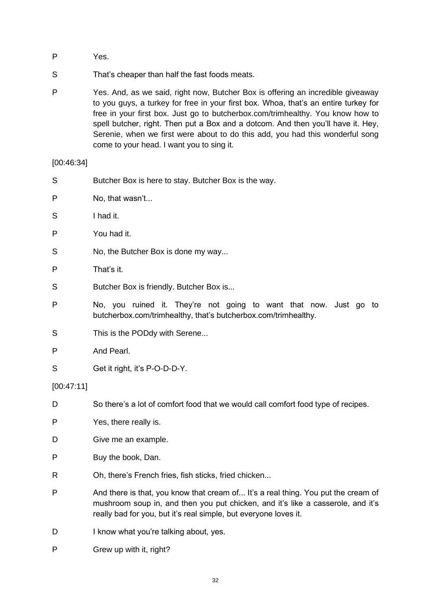- P Yes.
- S That's cheaper than half the fast foods meats.
- P Yes. And, as we said, right now, Butcher Box is offering an incredible giveaway to you guys, a turkey for free in your first box. Whoa, that's an entire turkey for free in your first box. Just go to butcherbox.com/trimhealthy. You know how to spell butcher, right. Then put a Box and a dotcom. And then you'll have it. Hey, Serenie, when we first were about to do this add, you had this wonderful song come to your head. I want you to sing it.

[00:46:34]

- S Butcher Box is here to stay. Butcher Box is the way.
- P No, that wasn't...
- S I had it.
- P You had it.
- S No, the Butcher Box is done my way...
- P That's it.
- S Butcher Box is friendly. Butcher Box is...
- P No, you ruined it. They're not going to want that now. Just go to butcherbox.com/trimhealthy, that's butcherbox.com/trimhealthy.
- S This is the PODdy with Serene...
- P And Pearl.
- S Get it right, it's P-O-D-D-Y.

#### [00:47:11]

- D So there's a lot of comfort food that we would call comfort food type of recipes.
- P Yes, there really is.
- D Give me an example.
- P Buy the book, Dan.
- R Oh, there's French fries, fish sticks, fried chicken...
- P And there is that, you know that cream of... It's a real thing. You put the cream of mushroom soup in, and then you put chicken, and it's like a casserole, and it's really bad for you, but it's real simple, but everyone loves it.
- D I know what you're talking about, yes.
- P Grew up with it, right?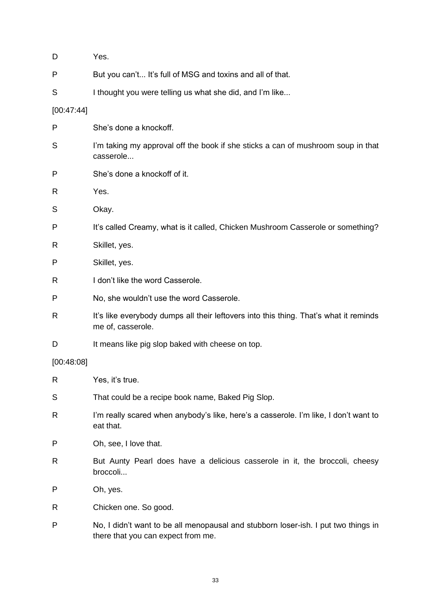| D          | Yes.                                                                                                                     |
|------------|--------------------------------------------------------------------------------------------------------------------------|
| P          | But you can't It's full of MSG and toxins and all of that.                                                               |
| S          | I thought you were telling us what she did, and I'm like                                                                 |
| [00:47:44] |                                                                                                                          |
| P          | She's done a knockoff.                                                                                                   |
| S          | I'm taking my approval off the book if she sticks a can of mushroom soup in that<br>casserole                            |
| P          | She's done a knockoff of it.                                                                                             |
| R          | Yes.                                                                                                                     |
| S          | Okay.                                                                                                                    |
| P          | It's called Creamy, what is it called, Chicken Mushroom Casserole or something?                                          |
| R          | Skillet, yes.                                                                                                            |
| P          | Skillet, yes.                                                                                                            |
| R          | I don't like the word Casserole.                                                                                         |
| P          | No, she wouldn't use the word Casserole.                                                                                 |
| R          | It's like everybody dumps all their leftovers into this thing. That's what it reminds<br>me of, casserole.               |
| D          | It means like pig slop baked with cheese on top.                                                                         |
| [00:48:08] |                                                                                                                          |
| R          | Yes, it's true.                                                                                                          |
| S          | That could be a recipe book name, Baked Pig Slop.                                                                        |
| R          | I'm really scared when anybody's like, here's a casserole. I'm like, I don't want to<br>eat that.                        |
| P          | Oh, see, I love that.                                                                                                    |
| R          | But Aunty Pearl does have a delicious casserole in it, the broccoli, cheesy<br>broccoli                                  |
| P          | Oh, yes.                                                                                                                 |
| R          | Chicken one. So good.                                                                                                    |
| P          | No, I didn't want to be all menopausal and stubborn loser-ish. I put two things in<br>there that you can expect from me. |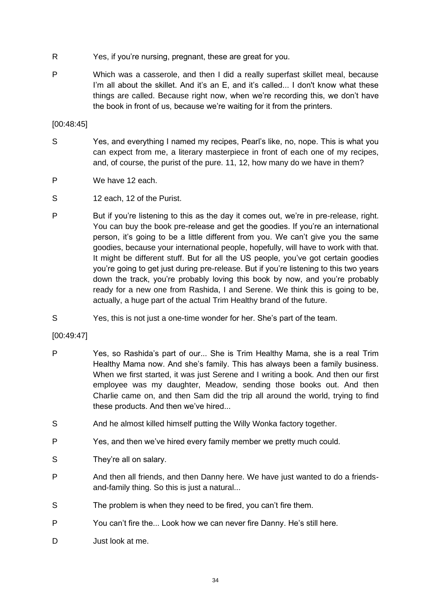- R Yes, if you're nursing, pregnant, these are great for you.
- P Which was a casserole, and then I did a really superfast skillet meal, because I'm all about the skillet. And it's an E, and it's called... I don't know what these things are called. Because right now, when we're recording this, we don't have the book in front of us, because we're waiting for it from the printers.

[00:48:45]

- S Yes, and everything I named my recipes, Pearl's like, no, nope. This is what you can expect from me, a literary masterpiece in front of each one of my recipes, and, of course, the purist of the pure. 11, 12, how many do we have in them?
- P We have 12 each.
- S 12 each, 12 of the Purist.
- P But if you're listening to this as the day it comes out, we're in pre-release, right. You can buy the book pre-release and get the goodies. If you're an international person, it's going to be a little different from you. We can't give you the same goodies, because your international people, hopefully, will have to work with that. It might be different stuff. But for all the US people, you've got certain goodies you're going to get just during pre-release. But if you're listening to this two years down the track, you're probably loving this book by now, and you're probably ready for a new one from Rashida, I and Serene. We think this is going to be, actually, a huge part of the actual Trim Healthy brand of the future.
- S Yes, this is not just a one-time wonder for her. She's part of the team.

[00:49:47]

- P Yes, so Rashida's part of our... She is Trim Healthy Mama, she is a real Trim Healthy Mama now. And she's family. This has always been a family business. When we first started, it was just Serene and I writing a book. And then our first employee was my daughter, Meadow, sending those books out. And then Charlie came on, and then Sam did the trip all around the world, trying to find these products. And then we've hired...
- S And he almost killed himself putting the Willy Wonka factory together.
- P Yes, and then we've hired every family member we pretty much could.
- S They're all on salary.
- P And then all friends, and then Danny here. We have just wanted to do a friendsand-family thing. So this is just a natural...
- S The problem is when they need to be fired, you can't fire them.
- P You can't fire the... Look how we can never fire Danny. He's still here.
- D Just look at me.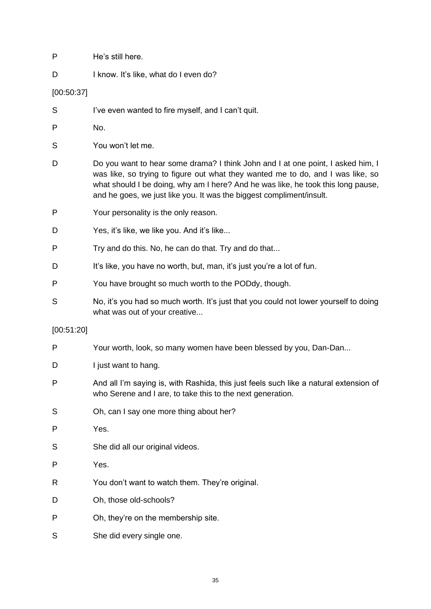| P          | He's still here.                                                                                                                                                                                                                                                                                                               |
|------------|--------------------------------------------------------------------------------------------------------------------------------------------------------------------------------------------------------------------------------------------------------------------------------------------------------------------------------|
| D          | I know. It's like, what do I even do?                                                                                                                                                                                                                                                                                          |
| [00:50:37] |                                                                                                                                                                                                                                                                                                                                |
| S          | I've even wanted to fire myself, and I can't quit.                                                                                                                                                                                                                                                                             |
| P          | No.                                                                                                                                                                                                                                                                                                                            |
| S          | You won't let me.                                                                                                                                                                                                                                                                                                              |
| D          | Do you want to hear some drama? I think John and I at one point, I asked him, I<br>was like, so trying to figure out what they wanted me to do, and I was like, so<br>what should I be doing, why am I here? And he was like, he took this long pause,<br>and he goes, we just like you. It was the biggest compliment/insult. |
| P          | Your personality is the only reason.                                                                                                                                                                                                                                                                                           |
| D          | Yes, it's like, we like you. And it's like                                                                                                                                                                                                                                                                                     |
| P          | Try and do this. No, he can do that. Try and do that                                                                                                                                                                                                                                                                           |
| D          | It's like, you have no worth, but, man, it's just you're a lot of fun.                                                                                                                                                                                                                                                         |
| P          | You have brought so much worth to the PODdy, though.                                                                                                                                                                                                                                                                           |
| S          | No, it's you had so much worth. It's just that you could not lower yourself to doing<br>what was out of your creative                                                                                                                                                                                                          |
| [00:51:20] |                                                                                                                                                                                                                                                                                                                                |
| P          | Your worth, look, so many women have been blessed by you, Dan-Dan                                                                                                                                                                                                                                                              |
| D          | I just want to hang.                                                                                                                                                                                                                                                                                                           |
| P          | And all I'm saying is, with Rashida, this just feels such like a natural extension of<br>who Serene and I are, to take this to the next generation.                                                                                                                                                                            |
| S          | Oh, can I say one more thing about her?                                                                                                                                                                                                                                                                                        |
| P          | Yes.                                                                                                                                                                                                                                                                                                                           |
| S          | She did all our original videos.                                                                                                                                                                                                                                                                                               |
| P          | Yes.                                                                                                                                                                                                                                                                                                                           |
| R          | You don't want to watch them. They're original.                                                                                                                                                                                                                                                                                |
| D          | Oh, those old-schools?                                                                                                                                                                                                                                                                                                         |
| P          | Oh, they're on the membership site.                                                                                                                                                                                                                                                                                            |
| S          | She did every single one.                                                                                                                                                                                                                                                                                                      |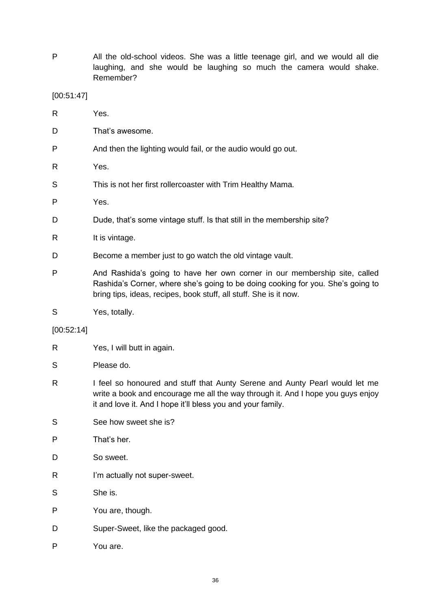P All the old-school videos. She was a little teenage girl, and we would all die laughing, and she would be laughing so much the camera would shake. Remember?

[00:51:47]

| R | Yes.                                                                   |
|---|------------------------------------------------------------------------|
| D | That's awesome.                                                        |
| P | And then the lighting would fail, or the audio would go out.           |
| R | Yes.                                                                   |
| S | This is not her first rollercoaster with Trim Healthy Mama.            |
| P | Yes.                                                                   |
| D | Dude, that's some vintage stuff. Is that still in the membership site? |
| R | It is vintage.                                                         |
| D | Become a member just to go watch the old vintage vault.                |
| P | And Rashida's going to have her own corner in our membership site      |

- P And Rashida's going to have her own corner in our membership site, called Rashida's Corner, where she's going to be doing cooking for you. She's going to bring tips, ideas, recipes, book stuff, all stuff. She is it now.
- S Yes, totally.

[00:52:14]

- R Yes, I will butt in again.
- S Please do.
- R I feel so honoured and stuff that Aunty Serene and Aunty Pearl would let me write a book and encourage me all the way through it. And I hope you guys enjoy it and love it. And I hope it'll bless you and your family.
- S See how sweet she is?
- P That's her.
- D So sweet.
- R I'm actually not super-sweet.
- S She is.
- P You are, though.
- D Super-Sweet, like the packaged good.
- P You are.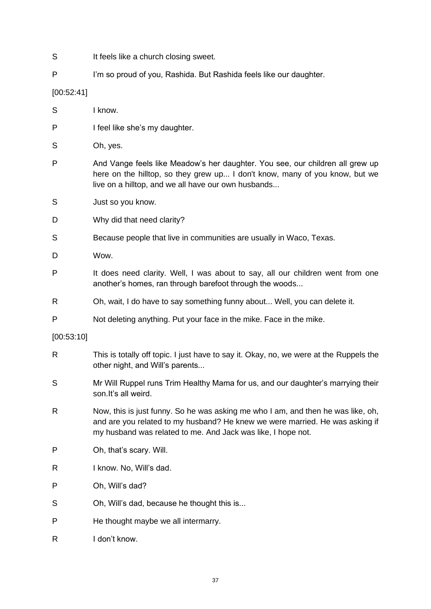- S It feels like a church closing sweet.
- P I'm so proud of you, Rashida. But Rashida feels like our daughter.

[00:52:41]

- S I know.
- P I feel like she's my daughter.
- S Oh, yes.
- P And Vange feels like Meadow's her daughter. You see, our children all grew up here on the hilltop, so they grew up... I don't know, many of you know, but we live on a hilltop, and we all have our own husbands...
- S Just so you know.
- D Why did that need clarity?
- S Because people that live in communities are usually in Waco, Texas.
- D Wow.
- P It does need clarity. Well, I was about to say, all our children went from one another's homes, ran through barefoot through the woods...
- R Oh, wait, I do have to say something funny about... Well, you can delete it.
- P Not deleting anything. Put your face in the mike. Face in the mike.

[00:53:10]

- R This is totally off topic. I just have to say it. Okay, no, we were at the Ruppels the other night, and Will's parents...
- S Mr Will Ruppel runs Trim Healthy Mama for us, and our daughter's marrying their son.It's all weird.
- R Now, this is just funny. So he was asking me who I am, and then he was like, oh, and are you related to my husband? He knew we were married. He was asking if my husband was related to me. And Jack was like, I hope not.
- P Oh, that's scary. Will.
- R I know. No, Will's dad.
- P Oh, Will's dad?
- S Oh, Will's dad, because he thought this is...
- P He thought maybe we all intermarry.
- R I don't know.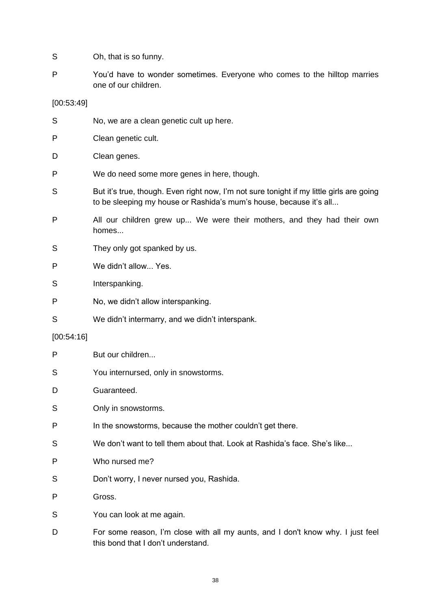- S Oh, that is so funny.
- P You'd have to wonder sometimes. Everyone who comes to the hilltop marries one of our children.

[00:53:49]

| S          | No, we are a clean genetic cult up here.                                                                                                                       |
|------------|----------------------------------------------------------------------------------------------------------------------------------------------------------------|
| P          | Clean genetic cult.                                                                                                                                            |
| D          | Clean genes.                                                                                                                                                   |
| P          | We do need some more genes in here, though.                                                                                                                    |
| S          | But it's true, though. Even right now, I'm not sure tonight if my little girls are going<br>to be sleeping my house or Rashida's mum's house, because it's all |
| P          | All our children grew up We were their mothers, and they had their own<br>homes                                                                                |
| S          | They only got spanked by us.                                                                                                                                   |
| P          | We didn't allow Yes.                                                                                                                                           |
| S          | Interspanking.                                                                                                                                                 |
| P          | No, we didn't allow interspanking.                                                                                                                             |
| S          | We didn't intermarry, and we didn't interspank.                                                                                                                |
| [00:54:16] |                                                                                                                                                                |
| P          | But our children                                                                                                                                               |
| S          | You internursed, only in snowstorms.                                                                                                                           |
| D          | Guaranteed.                                                                                                                                                    |
| S          | Only in snowstorms.                                                                                                                                            |
| P          | In the snowstorms, because the mother couldn't get there.                                                                                                      |
| S          | We don't want to tell them about that. Look at Rashida's face. She's like                                                                                      |
| P          | Who nursed me?                                                                                                                                                 |
| S          | Don't worry, I never nursed you, Rashida.                                                                                                                      |
| P          | Gross.                                                                                                                                                         |
| S          | You can look at me again.                                                                                                                                      |
| D          | For some reason, I'm close with all my aunts, and I don't know why. I just feel                                                                                |

this bond that I don't understand.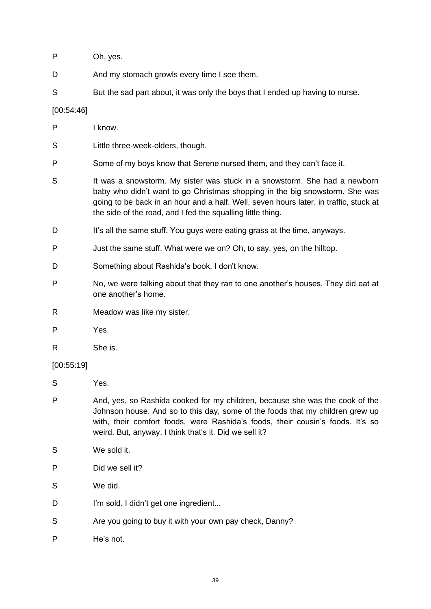- P Oh, yes.
- D And my stomach growls every time I see them.
- S But the sad part about, it was only the boys that I ended up having to nurse.

# [00:54:46]

| P          | I know.                                                                                                                                                                                                                                                                                                          |
|------------|------------------------------------------------------------------------------------------------------------------------------------------------------------------------------------------------------------------------------------------------------------------------------------------------------------------|
| S          | Little three-week-olders, though.                                                                                                                                                                                                                                                                                |
| P          | Some of my boys know that Serene nursed them, and they can't face it.                                                                                                                                                                                                                                            |
| S          | It was a snowstorm. My sister was stuck in a snowstorm. She had a newborn<br>baby who didn't want to go Christmas shopping in the big snowstorm. She was<br>going to be back in an hour and a half. Well, seven hours later, in traffic, stuck at<br>the side of the road, and I fed the squalling little thing. |
| D          | It's all the same stuff. You guys were eating grass at the time, anyways.                                                                                                                                                                                                                                        |
| P          | Just the same stuff. What were we on? Oh, to say, yes, on the hilltop.                                                                                                                                                                                                                                           |
| D          | Something about Rashida's book, I don't know.                                                                                                                                                                                                                                                                    |
| P          | No, we were talking about that they ran to one another's houses. They did eat at<br>one another's home.                                                                                                                                                                                                          |
| R          | Meadow was like my sister.                                                                                                                                                                                                                                                                                       |
| Ρ          | Yes.                                                                                                                                                                                                                                                                                                             |
| R          | She is.                                                                                                                                                                                                                                                                                                          |
| [00:55:19] |                                                                                                                                                                                                                                                                                                                  |
| S          | Yes.                                                                                                                                                                                                                                                                                                             |
| P          | And, yes, so Rashida cooked for my children, because she was the cook of the<br>Johnson house. And so to this day, some of the foods that my children grew up<br>with, their comfort foods, were Rashida's foods, their cousin's foods. It's so<br>weird. But, anyway, I think that's it. Did we sell it?        |
| S          | We sold it.                                                                                                                                                                                                                                                                                                      |
| Ρ          | Did we sell it?                                                                                                                                                                                                                                                                                                  |
| S          | We did.                                                                                                                                                                                                                                                                                                          |
| D          | I'm sold. I didn't get one ingredient                                                                                                                                                                                                                                                                            |
|            |                                                                                                                                                                                                                                                                                                                  |

- S Are you going to buy it with your own pay check, Danny?
- P He's not.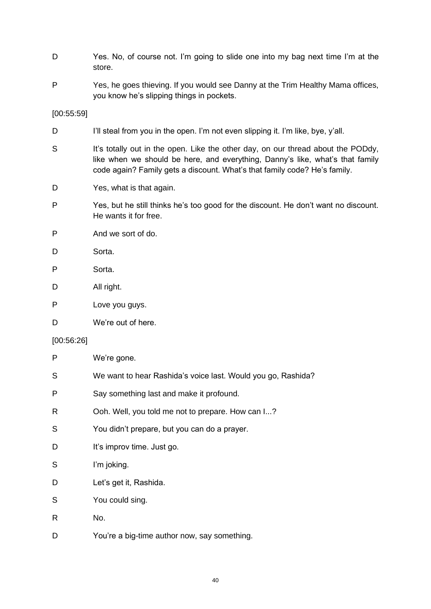- D Yes. No, of course not. I'm going to slide one into my bag next time I'm at the store.
- P Yes, he goes thieving. If you would see Danny at the Trim Healthy Mama offices, you know he's slipping things in pockets.

[00:55:59]

- D I'll steal from you in the open. I'm not even slipping it. I'm like, bye, y'all.
- S It's totally out in the open. Like the other day, on our thread about the PODdy, like when we should be here, and everything, Danny's like, what's that family code again? Family gets a discount. What's that family code? He's family.
- D Yes, what is that again.
- P Yes, but he still thinks he's too good for the discount. He don't want no discount. He wants it for free.
- P And we sort of do.
- D Sorta.
- P Sorta.
- D All right.
- P Love you guys.
- D We're out of here.

#### [00:56:26]

| P  | We're gone.                                                  |
|----|--------------------------------------------------------------|
| S  | We want to hear Rashida's voice last. Would you go, Rashida? |
| P  | Say something last and make it profound.                     |
| R  | Ooh. Well, you told me not to prepare. How can I?            |
| S  | You didn't prepare, but you can do a prayer.                 |
| D  | It's improv time. Just go.                                   |
| S  | I'm joking.                                                  |
| D  | Let's get it, Rashida.                                       |
| S  | You could sing.                                              |
| R. | No.                                                          |
| D  | You're a big-time author now, say something.                 |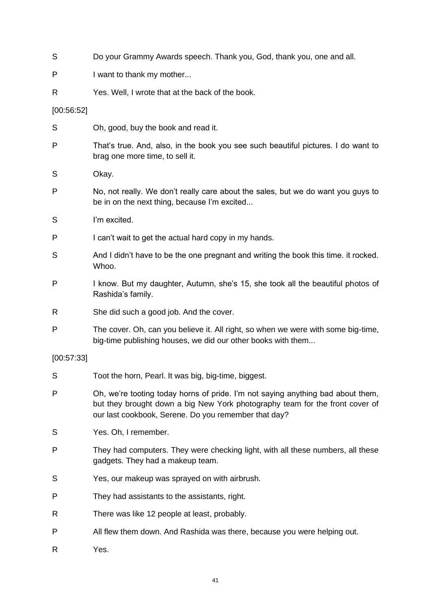| S          | Do your Grammy Awards speech. Thank you, God, thank you, one and all.                                                                                                                                                   |
|------------|-------------------------------------------------------------------------------------------------------------------------------------------------------------------------------------------------------------------------|
| P          | I want to thank my mother                                                                                                                                                                                               |
| R          | Yes. Well, I wrote that at the back of the book.                                                                                                                                                                        |
| [00:56:52] |                                                                                                                                                                                                                         |
| S          | Oh, good, buy the book and read it.                                                                                                                                                                                     |
| P          | That's true. And, also, in the book you see such beautiful pictures. I do want to<br>brag one more time, to sell it.                                                                                                    |
| S          | Okay.                                                                                                                                                                                                                   |
| P          | No, not really. We don't really care about the sales, but we do want you guys to<br>be in on the next thing, because I'm excited                                                                                        |
| S          | I'm excited.                                                                                                                                                                                                            |
| P          | I can't wait to get the actual hard copy in my hands.                                                                                                                                                                   |
| S          | And I didn't have to be the one pregnant and writing the book this time. it rocked.<br>Whoo.                                                                                                                            |
| P          | I know. But my daughter, Autumn, she's 15, she took all the beautiful photos of<br>Rashida's family.                                                                                                                    |
| R          | She did such a good job. And the cover.                                                                                                                                                                                 |
| P          | The cover. Oh, can you believe it. All right, so when we were with some big-time,<br>big-time publishing houses, we did our other books with them                                                                       |
| [00:57:33] |                                                                                                                                                                                                                         |
| S          | Toot the horn, Pearl. It was big, big-time, biggest.                                                                                                                                                                    |
| P          | Oh, we're tooting today horns of pride. I'm not saying anything bad about them,<br>but they brought down a big New York photography team for the front cover of<br>our last cookbook, Serene. Do you remember that day? |
| S          | Yes. Oh, I remember.                                                                                                                                                                                                    |
| P          | They had computers. They were checking light, with all these numbers, all these<br>gadgets. They had a makeup team.                                                                                                     |
| S          | Yes, our makeup was sprayed on with airbrush.                                                                                                                                                                           |
| P          | They had assistants to the assistants, right.                                                                                                                                                                           |
| R          | There was like 12 people at least, probably.                                                                                                                                                                            |
| P          | All flew them down. And Rashida was there, because you were helping out.                                                                                                                                                |
| R          | Yes.                                                                                                                                                                                                                    |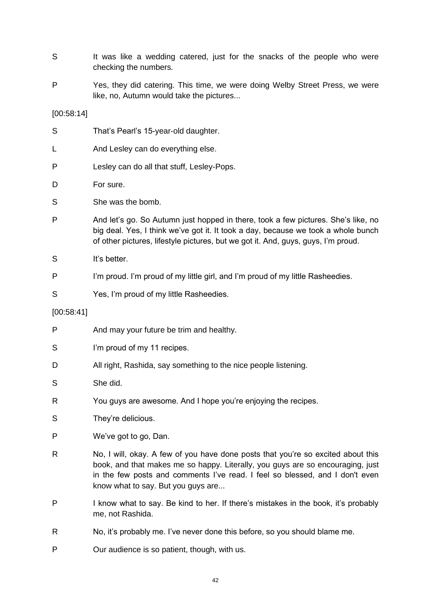- S It was like a wedding catered, just for the snacks of the people who were checking the numbers.
- P Yes, they did catering. This time, we were doing Welby Street Press, we were like, no, Autumn would take the pictures...

[00:58:14]

| S          | That's Pearl's 15-year-old daughter.                                                                                                                                                                                                                                                     |
|------------|------------------------------------------------------------------------------------------------------------------------------------------------------------------------------------------------------------------------------------------------------------------------------------------|
| L          | And Lesley can do everything else.                                                                                                                                                                                                                                                       |
| P          | Lesley can do all that stuff, Lesley-Pops.                                                                                                                                                                                                                                               |
| D          | For sure.                                                                                                                                                                                                                                                                                |
| S          | She was the bomb.                                                                                                                                                                                                                                                                        |
| P          | And let's go. So Autumn just hopped in there, took a few pictures. She's like, no<br>big deal. Yes, I think we've got it. It took a day, because we took a whole bunch<br>of other pictures, lifestyle pictures, but we got it. And, guys, guys, I'm proud.                              |
| S          | It's better.                                                                                                                                                                                                                                                                             |
| P          | I'm proud. I'm proud of my little girl, and I'm proud of my little Rasheedies.                                                                                                                                                                                                           |
| S          | Yes, I'm proud of my little Rasheedies.                                                                                                                                                                                                                                                  |
| [00:58:41] |                                                                                                                                                                                                                                                                                          |
| P          | And may your future be trim and healthy.                                                                                                                                                                                                                                                 |
| S          | I'm proud of my 11 recipes.                                                                                                                                                                                                                                                              |
| D          | All right, Rashida, say something to the nice people listening.                                                                                                                                                                                                                          |
| S          | She did.                                                                                                                                                                                                                                                                                 |
| R          | You guys are awesome. And I hope you're enjoying the recipes.                                                                                                                                                                                                                            |
| S          | They're delicious.                                                                                                                                                                                                                                                                       |
| P          | We've got to go, Dan.                                                                                                                                                                                                                                                                    |
| R          | No, I will, okay. A few of you have done posts that you're so excited about this<br>book, and that makes me so happy. Literally, you guys are so encouraging, just<br>in the few posts and comments I've read. I feel so blessed, and I don't even<br>know what to say. But you guys are |

- P I know what to say. Be kind to her. If there's mistakes in the book, it's probably me, not Rashida.
- R No, it's probably me. I've never done this before, so you should blame me.
- P Our audience is so patient, though, with us.